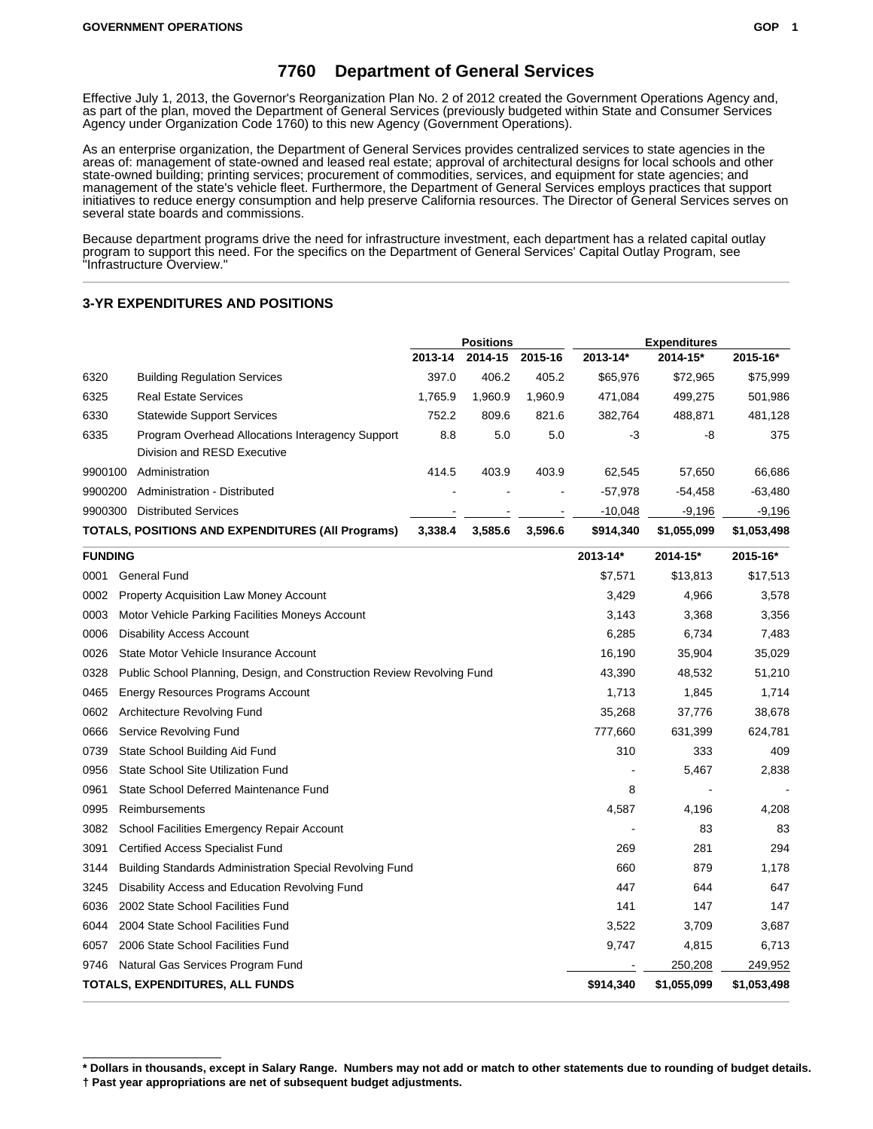### **7760 Department of General Services**

Effective July 1, 2013, the Governor's Reorganization Plan No. 2 of 2012 created the Government Operations Agency and, as part of the plan, moved the Department of General Services (previously budgeted within State and Consumer Services Agency under Organization Code 1760) to this new Agency (Government Operations).

As an enterprise organization, the Department of General Services provides centralized services to state agencies in the areas of: management of state-owned and leased real estate; approval of architectural designs for local schools and other state-owned building; printing services; procurement of commodities, services, and equipment for state agencies; and management of the state's vehicle fleet. Furthermore, the Department of General Services employs practices that support initiatives to reduce energy consumption and help preserve California resources. The Director of General Services serves on several state boards and commissions.

Because department programs drive the need for infrastructure investment, each department has a related capital outlay program to support this need. For the specifics on the Department of General Services' Capital Outlay Program, see "Infrastructure Overview."

#### **3-YR EXPENDITURES AND POSITIONS**

|         |                                                                                 | <b>Positions</b> |         | <b>Expenditures</b> |              |             |             |
|---------|---------------------------------------------------------------------------------|------------------|---------|---------------------|--------------|-------------|-------------|
|         |                                                                                 | 2013-14          | 2014-15 | 2015-16             | $2013 - 14*$ | 2014-15*    | 2015-16*    |
| 6320    | <b>Building Regulation Services</b>                                             | 397.0            | 406.2   | 405.2               | \$65,976     | \$72.965    | \$75,999    |
| 6325    | <b>Real Estate Services</b>                                                     | 1.765.9          | 1.960.9 | 1,960.9             | 471.084      | 499.275     | 501,986     |
| 6330    | <b>Statewide Support Services</b>                                               | 752.2            | 809.6   | 821.6               | 382.764      | 488.871     | 481,128     |
| 6335    | Program Overhead Allocations Interagency Support<br>Division and RESD Executive | 8.8              | 5.0     | 5.0                 | -3           | -8          | 375         |
| 9900100 | Administration                                                                  | 414.5            | 403.9   | 403.9               | 62.545       | 57.650      | 66,686      |
| 9900200 | Administration - Distributed                                                    |                  |         |                     | $-57.978$    | $-54.458$   | $-63.480$   |
| 9900300 | <b>Distributed Services</b>                                                     |                  |         |                     | $-10.048$    | $-9.196$    | $-9,196$    |
|         | TOTALS, POSITIONS AND EXPENDITURES (All Programs)                               | 3.338.4          | 3.585.6 | 3.596.6             | \$914,340    | \$1.055.099 | \$1,053,498 |

| <b>FUNDING</b> |                                                                        | 2013-14*  | $2014 - 15*$ | 2015-16*    |
|----------------|------------------------------------------------------------------------|-----------|--------------|-------------|
| 0001           | <b>General Fund</b>                                                    | \$7,571   | \$13,813     | \$17,513    |
| 0002           | Property Acquisition Law Money Account                                 | 3,429     | 4,966        | 3,578       |
| 0003           | Motor Vehicle Parking Facilities Moneys Account                        | 3,143     | 3,368        | 3,356       |
| 0006           | <b>Disability Access Account</b>                                       | 6,285     | 6,734        | 7,483       |
| 0026           | State Motor Vehicle Insurance Account                                  | 16,190    | 35,904       | 35,029      |
| 0328           | Public School Planning, Design, and Construction Review Revolving Fund | 43,390    | 48,532       | 51,210      |
| 0465           | Energy Resources Programs Account                                      | 1,713     | 1,845        | 1,714       |
| 0602           | Architecture Revolving Fund                                            | 35,268    | 37,776       | 38,678      |
| 0666           | Service Revolving Fund                                                 | 777,660   | 631,399      | 624,781     |
| 0739           | State School Building Aid Fund                                         | 310       | 333          | 409         |
| 0956           | State School Site Utilization Fund                                     |           | 5,467        | 2,838       |
| 0961           | State School Deferred Maintenance Fund                                 | 8         |              |             |
| 0995           | <b>Reimbursements</b>                                                  | 4,587     | 4,196        | 4,208       |
| 3082           | School Facilities Emergency Repair Account                             |           | 83           | 83          |
| 3091           | <b>Certified Access Specialist Fund</b>                                | 269       | 281          | 294         |
| 3144           | <b>Building Standards Administration Special Revolving Fund</b>        | 660       | 879          | 1,178       |
| 3245           | Disability Access and Education Revolving Fund                         | 447       | 644          | 647         |
| 6036           | 2002 State School Facilities Fund                                      | 141       | 147          | 147         |
| 6044           | 2004 State School Facilities Fund                                      | 3,522     | 3,709        | 3,687       |
| 6057           | 2006 State School Facilities Fund                                      | 9,747     | 4,815        | 6,713       |
| 9746           | Natural Gas Services Program Fund                                      |           | 250,208      | 249,952     |
|                | TOTALS, EXPENDITURES, ALL FUNDS                                        | \$914,340 | \$1,055,099  | \$1,053,498 |

**<sup>\*</sup> Dollars in thousands, except in Salary Range. Numbers may not add or match to other statements due to rounding of budget details. † Past year appropriations are net of subsequent budget adjustments.**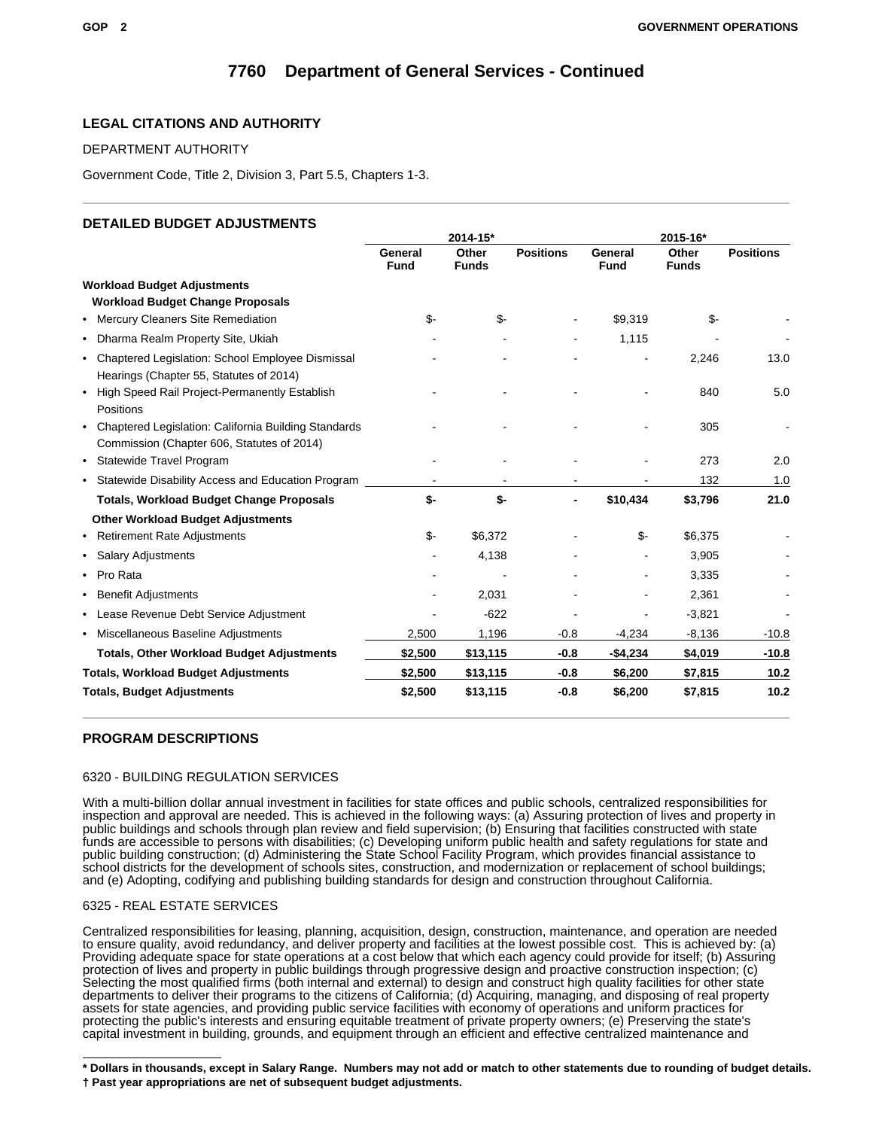### **LEGAL CITATIONS AND AUTHORITY**

### DEPARTMENT AUTHORITY

Government Code, Title 2, Division 3, Part 5.5, Chapters 1-3.

### **DETAILED BUDGET ADJUSTMENTS**

|                                                                                                         | 2014-15*               |                       |                  | 2015-16*               |                       |                  |
|---------------------------------------------------------------------------------------------------------|------------------------|-----------------------|------------------|------------------------|-----------------------|------------------|
|                                                                                                         | General<br><b>Fund</b> | Other<br><b>Funds</b> | <b>Positions</b> | General<br><b>Fund</b> | Other<br><b>Funds</b> | <b>Positions</b> |
| <b>Workload Budget Adjustments</b>                                                                      |                        |                       |                  |                        |                       |                  |
| <b>Workload Budget Change Proposals</b>                                                                 |                        |                       |                  |                        |                       |                  |
| • Mercury Cleaners Site Remediation                                                                     | \$-                    | \$-                   |                  | \$9,319                | \$-                   |                  |
| Dharma Realm Property Site, Ukiah<br>$\bullet$                                                          |                        |                       |                  | 1,115                  |                       |                  |
| • Chaptered Legislation: School Employee Dismissal<br>Hearings (Chapter 55, Statutes of 2014)           |                        |                       |                  |                        | 2,246                 | 13.0             |
| High Speed Rail Project-Permanently Establish<br>$\bullet$<br>Positions                                 |                        |                       |                  |                        | 840                   | 5.0              |
| Chaptered Legislation: California Building Standards<br>٠<br>Commission (Chapter 606, Statutes of 2014) |                        |                       |                  |                        | 305                   |                  |
| • Statewide Travel Program                                                                              |                        |                       |                  |                        | 273                   | 2.0              |
| • Statewide Disability Access and Education Program                                                     |                        |                       |                  |                        | 132                   | 1.0              |
| <b>Totals, Workload Budget Change Proposals</b>                                                         | \$-                    | \$-                   |                  | \$10,434               | \$3,796               | 21.0             |
| <b>Other Workload Budget Adjustments</b>                                                                |                        |                       |                  |                        |                       |                  |
| • Retirement Rate Adjustments                                                                           | \$-                    | \$6,372               |                  | \$-                    | \$6,375               |                  |
| • Salary Adjustments                                                                                    |                        | 4,138                 |                  |                        | 3,905                 |                  |
| Pro Rata<br>$\bullet$                                                                                   |                        |                       |                  |                        | 3,335                 |                  |
| Benefit Adjustments<br>٠                                                                                |                        | 2,031                 |                  |                        | 2,361                 |                  |
| • Lease Revenue Debt Service Adjustment                                                                 |                        | $-622$                |                  |                        | $-3,821$              |                  |
| • Miscellaneous Baseline Adjustments                                                                    | 2,500                  | 1,196                 | $-0.8$           | $-4,234$               | $-8,136$              | $-10.8$          |
| <b>Totals, Other Workload Budget Adjustments</b>                                                        | \$2,500                | \$13,115              | $-0.8$           | -\$4,234               | \$4,019               | $-10.8$          |
| <b>Totals, Workload Budget Adjustments</b>                                                              | \$2,500                | \$13,115              | $-0.8$           | \$6,200                | \$7,815               | 10.2             |
| <b>Totals, Budget Adjustments</b>                                                                       | \$2,500                | \$13,115              | $-0.8$           | \$6,200                | \$7,815               | 10.2             |

### **PROGRAM DESCRIPTIONS**

### 6320 - BUILDING REGULATION SERVICES

With a multi-billion dollar annual investment in facilities for state offices and public schools, centralized responsibilities for inspection and approval are needed. This is achieved in the following ways: (a) Assuring protection of lives and property in public buildings and schools through plan review and field supervision; (b) Ensuring that facilities constructed with state funds are accessible to persons with disabilities; (c) Developing uniform public health and safety regulations for state and public building construction; (d) Administering the State School Facility Program, which provides financial assistance to school districts for the development of schools sites, construction, and modernization or replacement of school buildings; and (e) Adopting, codifying and publishing building standards for design and construction throughout California.

### 6325 - REAL ESTATE SERVICES

Centralized responsibilities for leasing, planning, acquisition, design, construction, maintenance, and operation are needed to ensure quality, avoid redundancy, and deliver property and facilities at the lowest possible cost. This is achieved by: (a) Providing adequate space for state operations at a cost below that which each agency could provide for itself; (b) Assuring protection of lives and property in public buildings through progressive design and proactive construction inspection; (c) Selecting the most qualified firms (both internal and external) to design and construct high quality facilities for other state departments to deliver their programs to the citizens of California; (d) Acquiring, managing, and disposing of real property assets for state agencies, and providing public service facilities with economy of operations and uniform practices for protecting the public's interests and ensuring equitable treatment of private property owners; (e) Preserving the state's capital investment in building, grounds, and equipment through an efficient and effective centralized maintenance and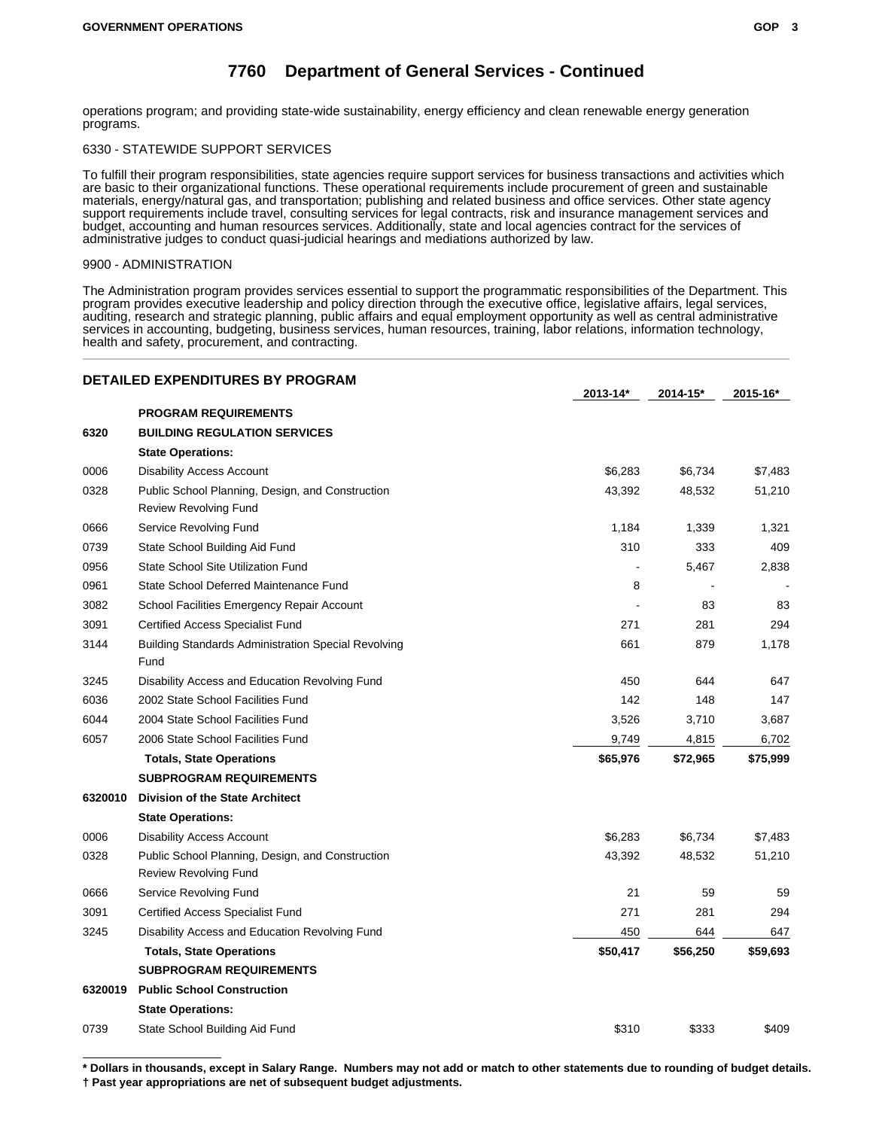operations program; and providing state-wide sustainability, energy efficiency and clean renewable energy generation programs.

### 6330 - STATEWIDE SUPPORT SERVICES

To fulfill their program responsibilities, state agencies require support services for business transactions and activities which are basic to their organizational functions. These operational requirements include procurement of green and sustainable materials, energy/natural gas, and transportation; publishing and related business and office services. Other state agency support requirements include travel, consulting services for legal contracts, risk and insurance management services and budget, accounting and human resources services. Additionally, state and local agencies contract for the services of administrative judges to conduct quasi-judicial hearings and mediations authorized by law.

#### 9900 - ADMINISTRATION

The Administration program provides services essential to support the programmatic responsibilities of the Department. This program provides executive leadership and policy direction through the executive office, legislative affairs, legal services, auditing, research and strategic planning, public affairs and equal employment opportunity as well as central administrative services in accounting, budgeting, business services, human resources, training, labor relations, information technology, health and safety, procurement, and contracting.

|         | <b>DETAILED EXPENDITURES BY PROGRAM</b>                                          | $2013 - 14*$ | 2014-15* | 2015-16* |
|---------|----------------------------------------------------------------------------------|--------------|----------|----------|
|         | <b>PROGRAM REQUIREMENTS</b>                                                      |              |          |          |
| 6320    | <b>BUILDING REGULATION SERVICES</b>                                              |              |          |          |
|         | <b>State Operations:</b>                                                         |              |          |          |
| 0006    | <b>Disability Access Account</b>                                                 | \$6,283      | \$6,734  | \$7,483  |
| 0328    | Public School Planning, Design, and Construction<br><b>Review Revolving Fund</b> | 43,392       | 48,532   | 51,210   |
| 0666    | Service Revolving Fund                                                           | 1,184        | 1,339    | 1,321    |
| 0739    | State School Building Aid Fund                                                   | 310          | 333      | 409      |
| 0956    | State School Site Utilization Fund                                               |              | 5,467    | 2,838    |
| 0961    | State School Deferred Maintenance Fund                                           | 8            |          |          |
| 3082    | School Facilities Emergency Repair Account                                       |              | 83       | 83       |
| 3091    | <b>Certified Access Specialist Fund</b>                                          | 271          | 281      | 294      |
| 3144    | <b>Building Standards Administration Special Revolving</b>                       | 661          | 879      | 1,178    |
|         | Fund                                                                             |              |          |          |
| 3245    | Disability Access and Education Revolving Fund                                   | 450          | 644      | 647      |
| 6036    | 2002 State School Facilities Fund                                                | 142          | 148      | 147      |
| 6044    | 2004 State School Facilities Fund                                                | 3,526        | 3,710    | 3,687    |
| 6057    | 2006 State School Facilities Fund                                                | 9,749        | 4,815    | 6,702    |
|         | <b>Totals, State Operations</b>                                                  | \$65,976     | \$72,965 | \$75,999 |
|         | <b>SUBPROGRAM REQUIREMENTS</b>                                                   |              |          |          |
| 6320010 | <b>Division of the State Architect</b>                                           |              |          |          |
|         | <b>State Operations:</b>                                                         |              |          |          |
| 0006    | <b>Disability Access Account</b>                                                 | \$6,283      | \$6,734  | \$7,483  |
| 0328    | Public School Planning, Design, and Construction<br><b>Review Revolving Fund</b> | 43,392       | 48,532   | 51,210   |
| 0666    | Service Revolving Fund                                                           | 21           | 59       | 59       |
| 3091    | <b>Certified Access Specialist Fund</b>                                          | 271          | 281      | 294      |
| 3245    | Disability Access and Education Revolving Fund                                   | 450          | 644      | 647      |
|         | <b>Totals, State Operations</b>                                                  | \$50,417     | \$56,250 | \$59,693 |
|         | <b>SUBPROGRAM REQUIREMENTS</b>                                                   |              |          |          |
| 6320019 | <b>Public School Construction</b>                                                |              |          |          |
|         | <b>State Operations:</b>                                                         |              |          |          |
| 0739    | State School Building Aid Fund                                                   | \$310        | \$333    | \$409    |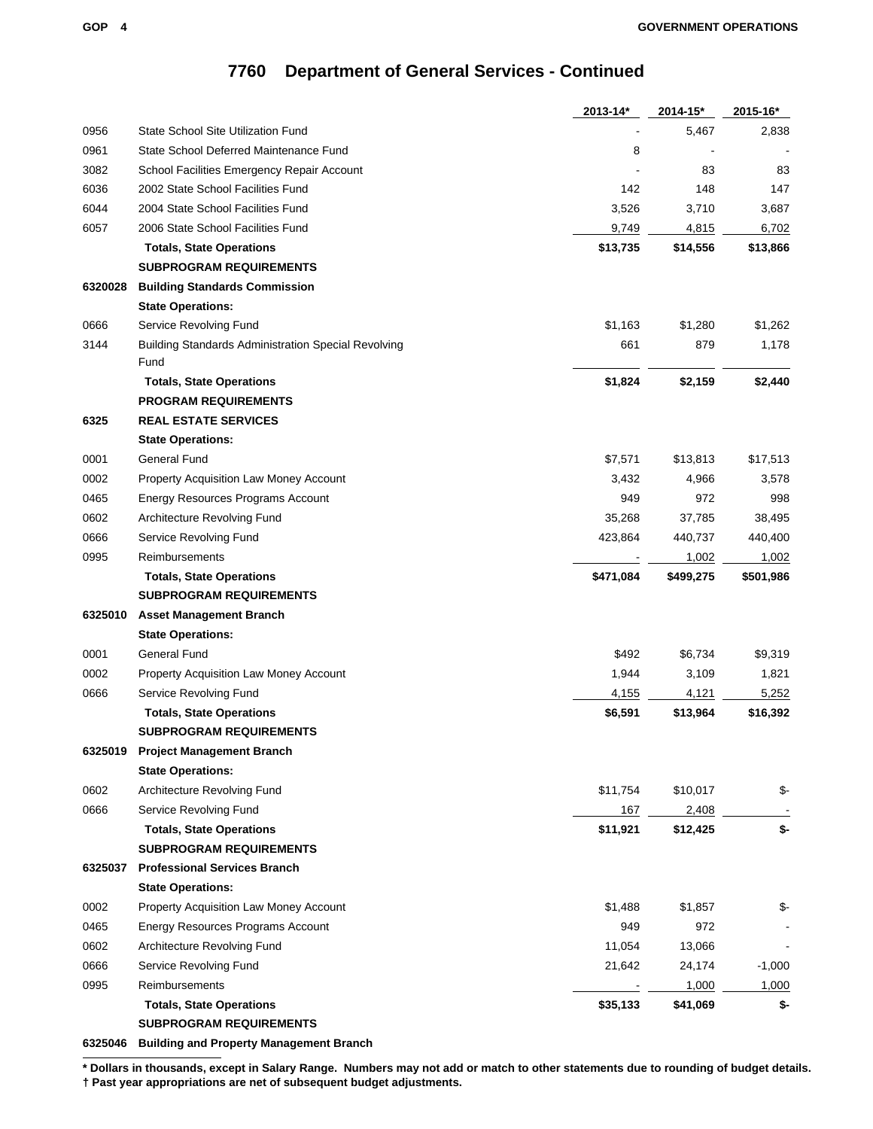|         |                                                            | 2013-14*  | 2014-15*  | 2015-16*  |
|---------|------------------------------------------------------------|-----------|-----------|-----------|
| 0956    | State School Site Utilization Fund                         |           | 5,467     | 2,838     |
| 0961    | State School Deferred Maintenance Fund                     | 8         |           |           |
| 3082    | School Facilities Emergency Repair Account                 |           | 83        | 83        |
| 6036    | 2002 State School Facilities Fund                          | 142       | 148       | 147       |
| 6044    | 2004 State School Facilities Fund                          | 3,526     | 3,710     | 3,687     |
| 6057    | 2006 State School Facilities Fund                          | 9,749     | 4,815     | 6,702     |
|         | <b>Totals, State Operations</b>                            | \$13,735  | \$14,556  | \$13,866  |
|         | <b>SUBPROGRAM REQUIREMENTS</b>                             |           |           |           |
| 6320028 | <b>Building Standards Commission</b>                       |           |           |           |
|         | <b>State Operations:</b>                                   |           |           |           |
| 0666    | Service Revolving Fund                                     | \$1,163   | \$1,280   | \$1,262   |
| 3144    | <b>Building Standards Administration Special Revolving</b> | 661       | 879       | 1,178     |
|         | Fund                                                       |           |           |           |
|         | <b>Totals, State Operations</b>                            | \$1,824   | \$2,159   | \$2,440   |
|         | <b>PROGRAM REQUIREMENTS</b>                                |           |           |           |
| 6325    | <b>REAL ESTATE SERVICES</b>                                |           |           |           |
|         | <b>State Operations:</b>                                   |           |           |           |
| 0001    | <b>General Fund</b>                                        | \$7,571   | \$13,813  | \$17,513  |
| 0002    | Property Acquisition Law Money Account                     | 3,432     | 4,966     | 3,578     |
| 0465    | Energy Resources Programs Account                          | 949       | 972       | 998       |
| 0602    | Architecture Revolving Fund                                | 35,268    | 37,785    | 38,495    |
| 0666    | Service Revolving Fund                                     | 423,864   | 440,737   | 440,400   |
| 0995    | Reimbursements                                             |           | 1,002     | 1,002     |
|         | <b>Totals, State Operations</b>                            | \$471,084 | \$499,275 | \$501,986 |
|         | <b>SUBPROGRAM REQUIREMENTS</b>                             |           |           |           |
| 6325010 | <b>Asset Management Branch</b>                             |           |           |           |
|         | <b>State Operations:</b>                                   |           |           |           |
| 0001    | General Fund                                               | \$492     | \$6,734   | \$9,319   |
| 0002    | Property Acquisition Law Money Account                     | 1,944     | 3,109     | 1,821     |
| 0666    | Service Revolving Fund                                     | 4,155     | 4,121     | 5,252     |
|         | <b>Totals, State Operations</b>                            | \$6,591   | \$13,964  | \$16,392  |
|         | <b>SUBPROGRAM REQUIREMENTS</b>                             |           |           |           |
|         | 6325019 Project Management Branch                          |           |           |           |
|         | <b>State Operations:</b>                                   |           |           |           |
| 0602    | Architecture Revolving Fund                                | \$11,754  | \$10,017  | \$-       |
| 0666    | Service Revolving Fund                                     | 167       | 2,408     |           |
|         | <b>Totals, State Operations</b>                            | \$11,921  | \$12,425  | \$-       |
|         | <b>SUBPROGRAM REQUIREMENTS</b>                             |           |           |           |
| 6325037 | <b>Professional Services Branch</b>                        |           |           |           |
|         | <b>State Operations:</b>                                   |           |           |           |
| 0002    | Property Acquisition Law Money Account                     | \$1,488   | \$1,857   | \$-       |
| 0465    | Energy Resources Programs Account                          | 949       | 972       |           |
| 0602    | Architecture Revolving Fund                                | 11,054    | 13,066    |           |
| 0666    | Service Revolving Fund                                     | 21,642    | 24,174    | $-1,000$  |
| 0995    | Reimbursements                                             |           | 1,000     | 1,000     |
|         | <b>Totals, State Operations</b>                            | \$35,133  | \$41,069  | \$-       |
|         | <b>SUBPROGRAM REQUIREMENTS</b>                             |           |           |           |

**6325046 Building and Property Management Branch**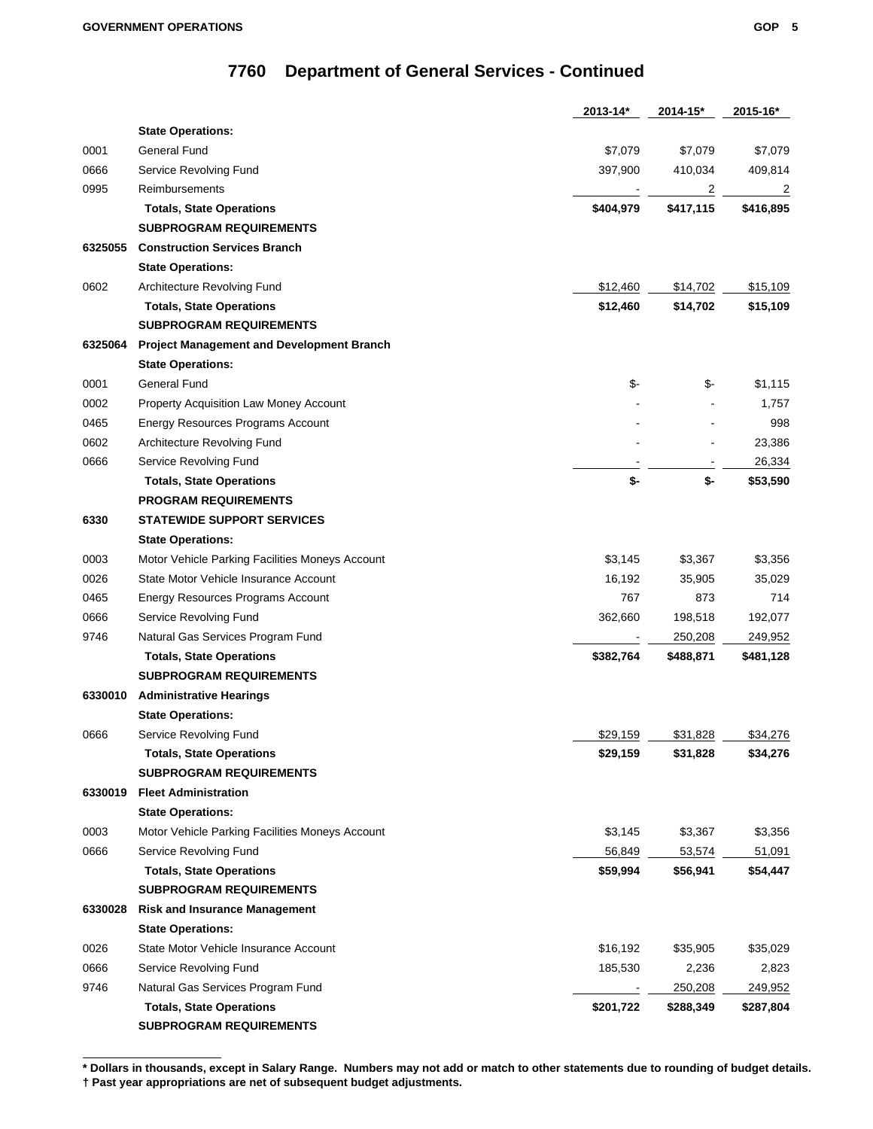|         |                                                  | 2013-14*  | 2014-15*  | 2015-16*       |
|---------|--------------------------------------------------|-----------|-----------|----------------|
|         | <b>State Operations:</b>                         |           |           |                |
| 0001    | General Fund                                     | \$7,079   | \$7,079   | \$7,079        |
| 0666    | Service Revolving Fund                           | 397,900   | 410,034   | 409,814        |
| 0995    | Reimbursements                                   |           | 2         | $\overline{2}$ |
|         | <b>Totals, State Operations</b>                  | \$404,979 | \$417,115 | \$416,895      |
|         | <b>SUBPROGRAM REQUIREMENTS</b>                   |           |           |                |
| 6325055 | <b>Construction Services Branch</b>              |           |           |                |
|         | <b>State Operations:</b>                         |           |           |                |
| 0602    | Architecture Revolving Fund                      | \$12,460  | \$14,702  | \$15,109       |
|         | <b>Totals, State Operations</b>                  | \$12,460  | \$14,702  | \$15,109       |
|         | <b>SUBPROGRAM REQUIREMENTS</b>                   |           |           |                |
| 6325064 | <b>Project Management and Development Branch</b> |           |           |                |
|         | <b>State Operations:</b>                         |           |           |                |
| 0001    | <b>General Fund</b>                              | \$-       | \$-       | \$1,115        |
| 0002    | Property Acquisition Law Money Account           |           |           | 1,757          |
| 0465    | Energy Resources Programs Account                |           |           | 998            |
| 0602    | Architecture Revolving Fund                      |           |           | 23,386         |
| 0666    | Service Revolving Fund                           |           |           | 26,334         |
|         | <b>Totals, State Operations</b>                  | \$-       | \$-       | \$53,590       |
|         | <b>PROGRAM REQUIREMENTS</b>                      |           |           |                |
| 6330    | <b>STATEWIDE SUPPORT SERVICES</b>                |           |           |                |
|         | <b>State Operations:</b>                         |           |           |                |
| 0003    | Motor Vehicle Parking Facilities Moneys Account  | \$3,145   | \$3,367   | \$3,356        |
| 0026    | State Motor Vehicle Insurance Account            | 16,192    | 35,905    | 35,029         |
| 0465    | Energy Resources Programs Account                | 767       | 873       | 714            |
| 0666    | Service Revolving Fund                           | 362,660   | 198,518   | 192,077        |
| 9746    | Natural Gas Services Program Fund                |           | 250,208   | 249,952        |
|         | <b>Totals, State Operations</b>                  | \$382,764 | \$488,871 | \$481,128      |
|         | <b>SUBPROGRAM REQUIREMENTS</b>                   |           |           |                |
| 6330010 | <b>Administrative Hearings</b>                   |           |           |                |
|         | <b>State Operations:</b>                         |           |           |                |
| 0666    | Service Revolving Fund                           | \$29,159  | \$31,828  | \$34,276       |
|         | <b>Totals, State Operations</b>                  | \$29,159  | \$31,828  | \$34,276       |
|         | <b>SUBPROGRAM REQUIREMENTS</b>                   |           |           |                |
| 6330019 | <b>Fleet Administration</b>                      |           |           |                |
|         | <b>State Operations:</b>                         |           |           |                |
| 0003    | Motor Vehicle Parking Facilities Moneys Account  | \$3,145   | \$3,367   | \$3,356        |
| 0666    | Service Revolving Fund                           | 56,849    | 53,574    | 51,091         |
|         | <b>Totals, State Operations</b>                  | \$59,994  | \$56,941  | \$54,447       |
|         | <b>SUBPROGRAM REQUIREMENTS</b>                   |           |           |                |
| 6330028 | <b>Risk and Insurance Management</b>             |           |           |                |
|         | <b>State Operations:</b>                         |           |           |                |
| 0026    | State Motor Vehicle Insurance Account            | \$16,192  | \$35,905  | \$35,029       |
| 0666    | Service Revolving Fund                           | 185,530   | 2,236     | 2,823          |
| 9746    | Natural Gas Services Program Fund                |           | 250,208   | 249,952        |
|         | <b>Totals, State Operations</b>                  | \$201,722 | \$288,349 | \$287,804      |
|         | <b>SUBPROGRAM REQUIREMENTS</b>                   |           |           |                |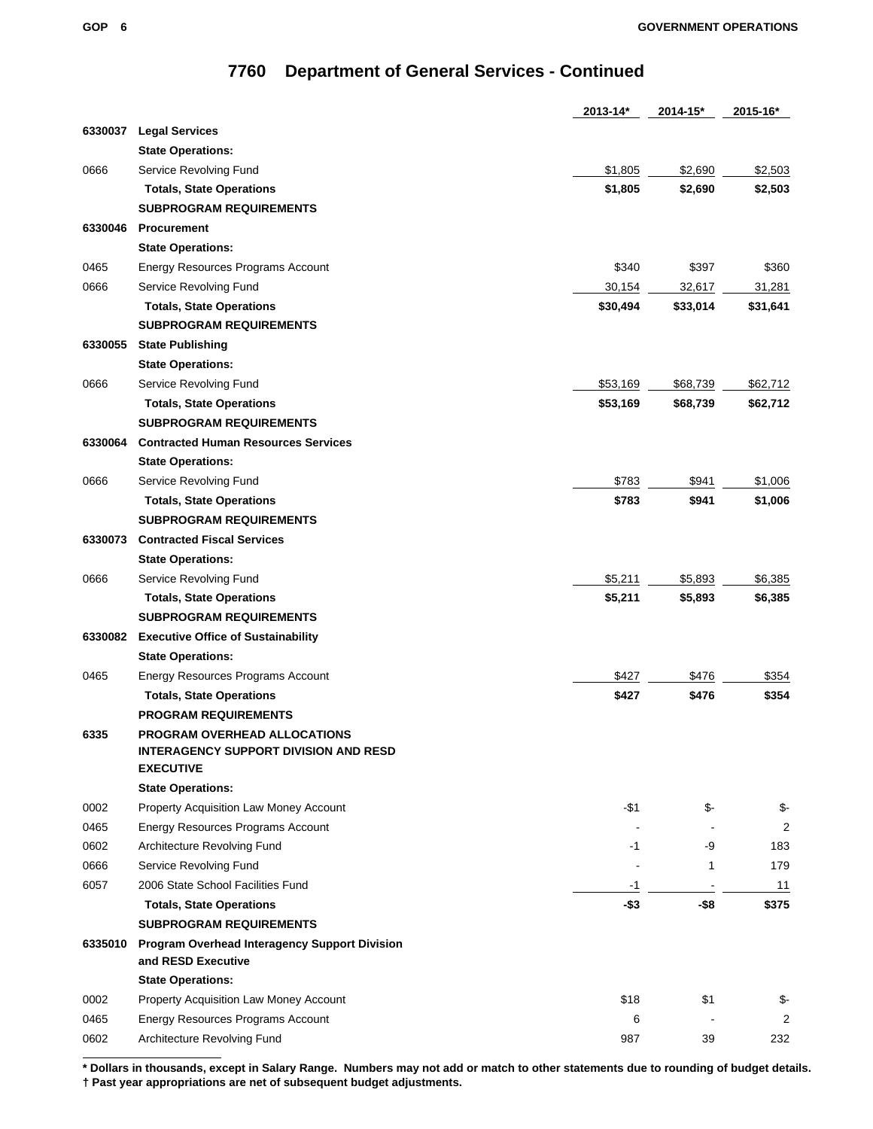|         |                                                                              | 2013-14* | 2014-15* | 2015-16* |
|---------|------------------------------------------------------------------------------|----------|----------|----------|
| 6330037 | <b>Legal Services</b>                                                        |          |          |          |
|         | <b>State Operations:</b>                                                     |          |          |          |
| 0666    | Service Revolving Fund                                                       | \$1,805  | \$2,690  | \$2,503  |
|         | <b>Totals, State Operations</b>                                              | \$1,805  | \$2,690  | \$2,503  |
|         | <b>SUBPROGRAM REQUIREMENTS</b>                                               |          |          |          |
| 6330046 | <b>Procurement</b>                                                           |          |          |          |
|         | <b>State Operations:</b>                                                     |          |          |          |
| 0465    | Energy Resources Programs Account                                            | \$340    | \$397    | \$360    |
| 0666    | Service Revolving Fund                                                       | 30,154   | 32,617   | 31,281   |
|         | <b>Totals, State Operations</b>                                              | \$30,494 | \$33,014 | \$31,641 |
|         | <b>SUBPROGRAM REQUIREMENTS</b>                                               |          |          |          |
| 6330055 | <b>State Publishing</b>                                                      |          |          |          |
|         | <b>State Operations:</b>                                                     |          |          |          |
| 0666    | Service Revolving Fund                                                       | \$53,169 | \$68,739 | \$62,712 |
|         | <b>Totals, State Operations</b>                                              | \$53,169 | \$68,739 | \$62,712 |
|         | <b>SUBPROGRAM REQUIREMENTS</b>                                               |          |          |          |
| 6330064 | <b>Contracted Human Resources Services</b>                                   |          |          |          |
|         | <b>State Operations:</b>                                                     |          |          |          |
| 0666    | Service Revolving Fund                                                       | \$783    | \$941    | \$1,006  |
|         | <b>Totals, State Operations</b>                                              | \$783    | \$941    | \$1,006  |
|         | <b>SUBPROGRAM REQUIREMENTS</b>                                               |          |          |          |
| 6330073 | <b>Contracted Fiscal Services</b>                                            |          |          |          |
|         | <b>State Operations:</b>                                                     |          |          |          |
| 0666    | Service Revolving Fund                                                       | \$5,211  | \$5,893  | \$6,385  |
|         | <b>Totals, State Operations</b>                                              | \$5,211  | \$5,893  | \$6,385  |
|         | <b>SUBPROGRAM REQUIREMENTS</b>                                               |          |          |          |
| 6330082 |                                                                              |          |          |          |
|         | <b>Executive Office of Sustainability</b>                                    |          |          |          |
|         | <b>State Operations:</b>                                                     |          |          |          |
| 0465    | Energy Resources Programs Account                                            | \$427    | \$476    | \$354    |
|         | <b>Totals, State Operations</b>                                              | \$427    | \$476    | \$354    |
|         | <b>PROGRAM REQUIREMENTS</b>                                                  |          |          |          |
| 6335    | PROGRAM OVERHEAD ALLOCATIONS<br><b>INTERAGENCY SUPPORT DIVISION AND RESD</b> |          |          |          |
|         | <b>EXECUTIVE</b>                                                             |          |          |          |
|         | <b>State Operations:</b>                                                     |          |          |          |
| 0002    | Property Acquisition Law Money Account                                       | $- $1$   | \$-      | \$-      |
| 0465    | Energy Resources Programs Account                                            |          |          | 2        |
| 0602    | Architecture Revolving Fund                                                  | -1       | -9       | 183      |
| 0666    | Service Revolving Fund                                                       |          | 1        | 179      |
| 6057    | 2006 State School Facilities Fund                                            | $-1$     |          | 11       |
|         | <b>Totals, State Operations</b>                                              | $-$ \$3  | $-$ \$8  | \$375    |
|         | <b>SUBPROGRAM REQUIREMENTS</b>                                               |          |          |          |
| 6335010 | <b>Program Overhead Interagency Support Division</b>                         |          |          |          |
|         | and RESD Executive                                                           |          |          |          |
|         | <b>State Operations:</b>                                                     |          |          |          |
| 0002    | Property Acquisition Law Money Account                                       | \$18     | \$1      | \$-      |
| 0465    | Energy Resources Programs Account                                            | 6        |          | 2        |
| 0602    | Architecture Revolving Fund                                                  | 987      | 39       | 232      |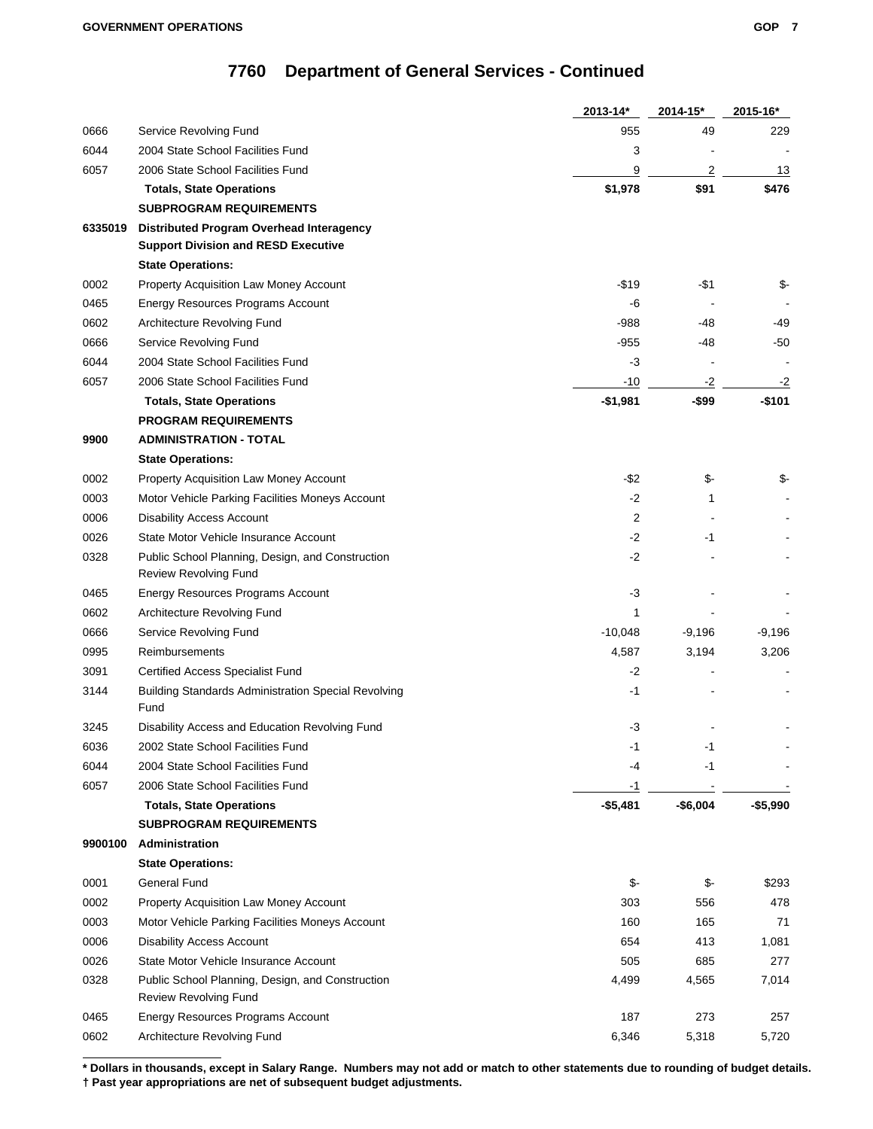|         |                                                                    | 2013-14*   | 2014-15*  | 2015-16*   |
|---------|--------------------------------------------------------------------|------------|-----------|------------|
| 0666    | Service Revolving Fund                                             | 955        | 49        | 229        |
| 6044    | 2004 State School Facilities Fund                                  | 3          |           |            |
| 6057    | 2006 State School Facilities Fund                                  | 9          | 2         | 13         |
|         | <b>Totals, State Operations</b>                                    | \$1,978    | \$91      | \$476      |
|         | <b>SUBPROGRAM REQUIREMENTS</b>                                     |            |           |            |
| 6335019 | Distributed Program Overhead Interagency                           |            |           |            |
|         | <b>Support Division and RESD Executive</b>                         |            |           |            |
|         | <b>State Operations:</b>                                           |            |           |            |
| 0002    | Property Acquisition Law Money Account                             | -\$19      | -\$1      | \$-        |
| 0465    | Energy Resources Programs Account                                  | -6         |           |            |
| 0602    | Architecture Revolving Fund                                        | $-988$     | -48       | -49        |
| 0666    | Service Revolving Fund                                             | -955       | -48       | $-50$      |
| 6044    | 2004 State School Facilities Fund                                  | $-3$       |           |            |
| 6057    | 2006 State School Facilities Fund                                  | $-10$      | $-2$      | $-2$       |
|         | <b>Totals, State Operations</b>                                    | $-$1,981$  | -\$99     | $-$101$    |
|         | <b>PROGRAM REQUIREMENTS</b>                                        |            |           |            |
| 9900    | <b>ADMINISTRATION - TOTAL</b>                                      |            |           |            |
|         | <b>State Operations:</b>                                           |            |           |            |
| 0002    | Property Acquisition Law Money Account                             | $-$ \$2    | \$-       | \$-        |
| 0003    | Motor Vehicle Parking Facilities Moneys Account                    | $-2$       | 1         |            |
| 0006    | <b>Disability Access Account</b>                                   | 2          |           |            |
| 0026    | State Motor Vehicle Insurance Account                              | $-2$       | -1        |            |
| 0328    | Public School Planning, Design, and Construction                   | $-2$       |           |            |
|         | <b>Review Revolving Fund</b>                                       |            |           |            |
| 0465    | Energy Resources Programs Account                                  | -3         |           |            |
| 0602    | Architecture Revolving Fund                                        | 1          |           |            |
| 0666    | Service Revolving Fund                                             | $-10,048$  | $-9,196$  | -9,196     |
| 0995    | Reimbursements                                                     | 4,587      | 3,194     | 3,206      |
| 3091    | <b>Certified Access Specialist Fund</b>                            | -2         |           |            |
| 3144    | <b>Building Standards Administration Special Revolving</b><br>Fund | -1         |           |            |
| 3245    | Disability Access and Education Revolving Fund                     | $-3$       |           |            |
| 6036    | 2002 State School Facilities Fund                                  | -1         | -1        |            |
| 6044    | 2004 State School Facilities Fund                                  | -4         | -1        |            |
| 6057    | 2006 State School Facilities Fund                                  | $-1$       |           |            |
|         | <b>Totals, State Operations</b>                                    | $- $5,481$ | $-$6,004$ | $- $5,990$ |
|         | <b>SUBPROGRAM REQUIREMENTS</b>                                     |            |           |            |
| 9900100 | Administration                                                     |            |           |            |
|         | <b>State Operations:</b>                                           |            |           |            |
| 0001    | General Fund                                                       | \$         | \$-       | \$293      |
| 0002    | Property Acquisition Law Money Account                             | 303        | 556       | 478        |
| 0003    | Motor Vehicle Parking Facilities Moneys Account                    | 160        | 165       | 71         |
| 0006    | <b>Disability Access Account</b>                                   | 654        | 413       | 1,081      |
| 0026    | State Motor Vehicle Insurance Account                              | 505        | 685       | 277        |
| 0328    | Public School Planning, Design, and Construction                   | 4,499      | 4,565     | 7,014      |
|         | Review Revolving Fund                                              |            |           |            |
| 0465    | Energy Resources Programs Account                                  | 187        | 273       | 257        |
| 0602    | Architecture Revolving Fund                                        | 6,346      | 5,318     | 5,720      |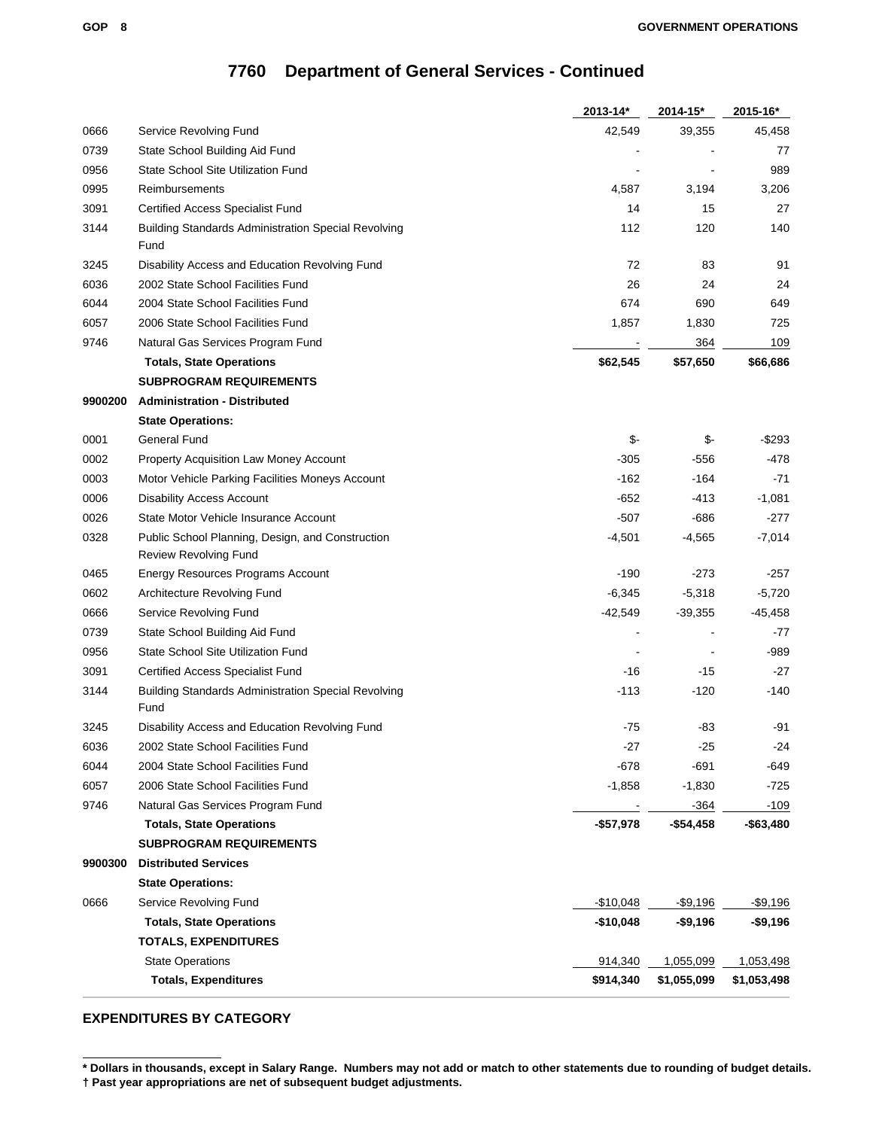|         |                                                                                  | 2013-14*   | 2014-15*    | 2015-16*     |
|---------|----------------------------------------------------------------------------------|------------|-------------|--------------|
| 0666    | Service Revolving Fund                                                           | 42,549     | 39,355      | 45,458       |
| 0739    | State School Building Aid Fund                                                   |            |             | 77           |
| 0956    | State School Site Utilization Fund                                               |            |             | 989          |
| 0995    | Reimbursements                                                                   | 4,587      | 3,194       | 3,206        |
| 3091    | <b>Certified Access Specialist Fund</b>                                          | 14         | 15          | 27           |
| 3144    | <b>Building Standards Administration Special Revolving</b><br>Fund               | 112        | 120         | 140          |
| 3245    | Disability Access and Education Revolving Fund                                   | 72         | 83          | 91           |
| 6036    | 2002 State School Facilities Fund                                                | 26         | 24          | 24           |
| 6044    | 2004 State School Facilities Fund                                                | 674        | 690         | 649          |
| 6057    | 2006 State School Facilities Fund                                                | 1,857      | 1,830       | 725          |
| 9746    | Natural Gas Services Program Fund                                                |            | 364         | 109          |
|         | <b>Totals, State Operations</b>                                                  | \$62,545   | \$57,650    | \$66,686     |
|         | <b>SUBPROGRAM REQUIREMENTS</b>                                                   |            |             |              |
| 9900200 | <b>Administration - Distributed</b>                                              |            |             |              |
|         | <b>State Operations:</b>                                                         |            |             |              |
| 0001    | General Fund                                                                     | \$         | \$-         | $-$ \$293    |
| 0002    | Property Acquisition Law Money Account                                           | $-305$     | $-556$      | -478         |
| 0003    | Motor Vehicle Parking Facilities Moneys Account                                  | $-162$     | $-164$      | $-71$        |
| 0006    | <b>Disability Access Account</b>                                                 | $-652$     | $-413$      | $-1,081$     |
| 0026    | State Motor Vehicle Insurance Account                                            | $-507$     | $-686$      | $-277$       |
| 0328    | Public School Planning, Design, and Construction<br><b>Review Revolving Fund</b> | $-4,501$   | $-4,565$    | $-7,014$     |
| 0465    | Energy Resources Programs Account                                                | $-190$     | $-273$      | -257         |
| 0602    | Architecture Revolving Fund                                                      | $-6,345$   | $-5,318$    | $-5,720$     |
| 0666    | Service Revolving Fund                                                           | $-42,549$  | $-39,355$   | $-45,458$    |
| 0739    | State School Building Aid Fund                                                   |            |             | -77          |
| 0956    | State School Site Utilization Fund                                               |            |             | -989         |
| 3091    | Certified Access Specialist Fund                                                 | -16        | -15         | $-27$        |
| 3144    | <b>Building Standards Administration Special Revolving</b><br>Fund               | -113       | $-120$      | $-140$       |
| 3245    | Disability Access and Education Revolving Fund                                   | -75        | -83         | -91          |
| 6036    | 2002 State School Facilities Fund                                                | -27        | $-25$       | -24          |
| 6044    | 2004 State School Facilities Fund                                                | $-678$     | $-691$      | -649         |
| 6057    | 2006 State School Facilities Fund                                                | $-1,858$   | $-1,830$    | -725         |
| 9746    | Natural Gas Services Program Fund                                                |            | $-364$      | $-109$       |
|         | <b>Totals, State Operations</b>                                                  | -\$57,978  | $-$54,458$  | $-$ \$63,480 |
|         | <b>SUBPROGRAM REQUIREMENTS</b>                                                   |            |             |              |
| 9900300 | <b>Distributed Services</b>                                                      |            |             |              |
|         | <b>State Operations:</b>                                                         |            |             |              |
| 0666    | Service Revolving Fund                                                           | $-$10,048$ | $-$9,196$   | $-$9,196$    |
|         | <b>Totals, State Operations</b>                                                  | $-$10,048$ | $-$9,196$   | -\$9,196     |
|         | <b>TOTALS, EXPENDITURES</b>                                                      |            |             |              |
|         | <b>State Operations</b>                                                          | 914,340    | 1,055,099   | 1,053,498    |
|         | <b>Totals, Expenditures</b>                                                      | \$914,340  | \$1,055,099 | \$1,053,498  |

### **EXPENDITURES BY CATEGORY**

**<sup>\*</sup> Dollars in thousands, except in Salary Range. Numbers may not add or match to other statements due to rounding of budget details. † Past year appropriations are net of subsequent budget adjustments.**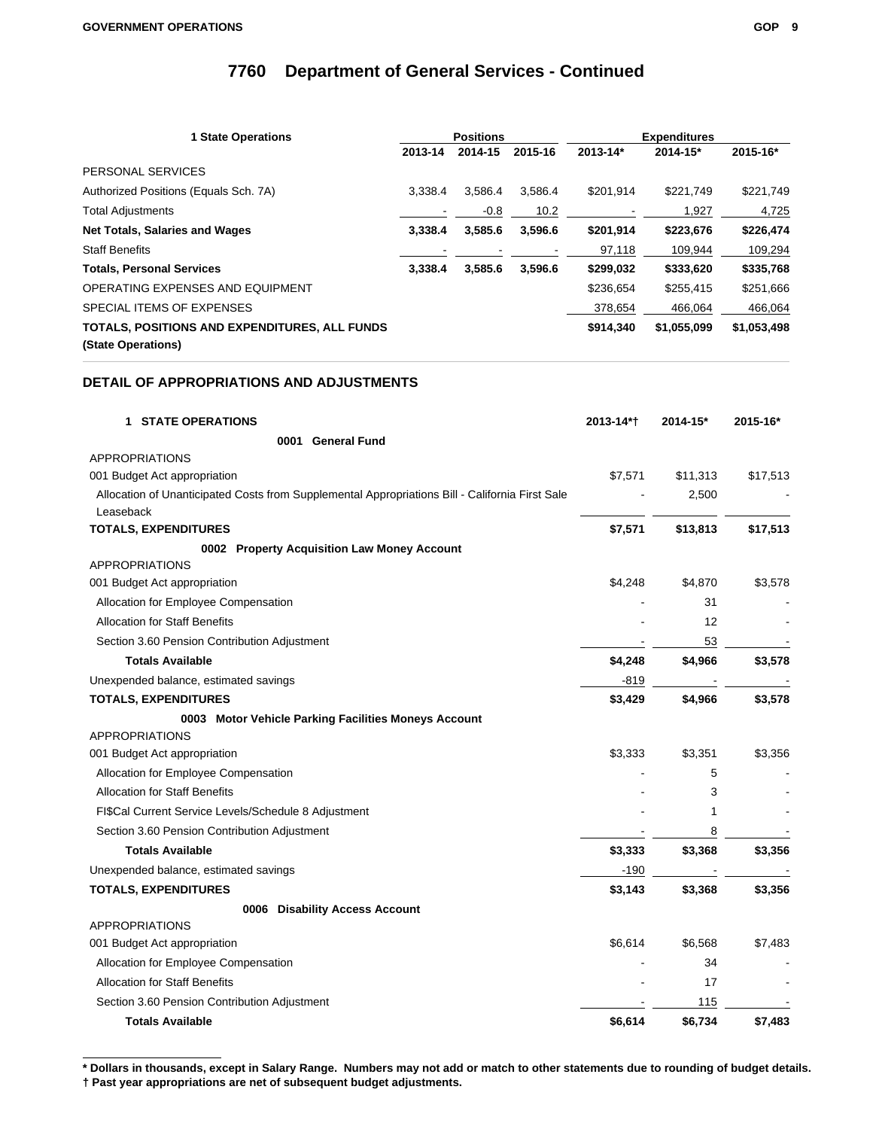| <b>1 State Operations</b>                                           |         | <b>Positions</b> |         |           | <b>Expenditures</b> |             |  |
|---------------------------------------------------------------------|---------|------------------|---------|-----------|---------------------|-------------|--|
|                                                                     | 2013-14 | 2014-15          | 2015-16 | 2013-14*  | $2014 - 15*$        | 2015-16*    |  |
| PERSONAL SERVICES                                                   |         |                  |         |           |                     |             |  |
| Authorized Positions (Equals Sch. 7A)                               | 3.338.4 | 3.586.4          | 3.586.4 | \$201,914 | \$221,749           | \$221,749   |  |
| <b>Total Adjustments</b>                                            |         | $-0.8$           | 10.2    |           | 1,927               | 4,725       |  |
| <b>Net Totals, Salaries and Wages</b>                               | 3.338.4 | 3,585.6          | 3.596.6 | \$201,914 | \$223,676           | \$226,474   |  |
| <b>Staff Benefits</b>                                               |         |                  |         | 97,118    | 109,944             | 109,294     |  |
| <b>Totals, Personal Services</b>                                    | 3.338.4 | 3,585.6          | 3.596.6 | \$299,032 | \$333,620           | \$335,768   |  |
| OPERATING EXPENSES AND EQUIPMENT                                    |         |                  |         | \$236,654 | \$255,415           | \$251,666   |  |
| SPECIAL ITEMS OF EXPENSES                                           |         |                  |         | 378,654   | 466,064             | 466,064     |  |
| TOTALS, POSITIONS AND EXPENDITURES, ALL FUNDS<br>(State Operations) |         |                  |         | \$914,340 | \$1,055,099         | \$1,053,498 |  |

### **DETAIL OF APPROPRIATIONS AND ADJUSTMENTS**

| <b>1 STATE OPERATIONS</b>                                                                                    | 2013-14*† | 2014-15* | 2015-16* |
|--------------------------------------------------------------------------------------------------------------|-----------|----------|----------|
| 0001 General Fund                                                                                            |           |          |          |
| <b>APPROPRIATIONS</b>                                                                                        |           |          |          |
| 001 Budget Act appropriation                                                                                 | \$7,571   | \$11,313 | \$17,513 |
| Allocation of Unanticipated Costs from Supplemental Appropriations Bill - California First Sale<br>Leaseback |           | 2,500    |          |
| <b>TOTALS, EXPENDITURES</b>                                                                                  | \$7,571   | \$13,813 | \$17,513 |
| 0002 Property Acquisition Law Money Account                                                                  |           |          |          |
| <b>APPROPRIATIONS</b>                                                                                        |           |          |          |
| 001 Budget Act appropriation                                                                                 | \$4,248   | \$4,870  | \$3,578  |
| Allocation for Employee Compensation                                                                         |           | 31       |          |
| <b>Allocation for Staff Benefits</b>                                                                         |           | 12       |          |
| Section 3.60 Pension Contribution Adjustment                                                                 |           | 53       |          |
| <b>Totals Available</b>                                                                                      | \$4,248   | \$4,966  | \$3,578  |
| Unexpended balance, estimated savings                                                                        | $-819$    |          |          |
| <b>TOTALS, EXPENDITURES</b>                                                                                  | \$3,429   | \$4,966  | \$3,578  |
| 0003 Motor Vehicle Parking Facilities Moneys Account                                                         |           |          |          |
| <b>APPROPRIATIONS</b>                                                                                        |           |          |          |
| 001 Budget Act appropriation                                                                                 | \$3,333   | \$3,351  | \$3,356  |
| Allocation for Employee Compensation                                                                         |           | 5        |          |
| <b>Allocation for Staff Benefits</b>                                                                         |           | 3        |          |
| FI\$Cal Current Service Levels/Schedule 8 Adjustment                                                         |           | 1        |          |
| Section 3.60 Pension Contribution Adjustment                                                                 |           | 8        |          |
| <b>Totals Available</b>                                                                                      | \$3,333   | \$3,368  | \$3,356  |
| Unexpended balance, estimated savings                                                                        | $-190$    |          |          |
| <b>TOTALS, EXPENDITURES</b>                                                                                  | \$3,143   | \$3,368  | \$3,356  |
| 0006 Disability Access Account                                                                               |           |          |          |
| <b>APPROPRIATIONS</b>                                                                                        |           |          |          |
| 001 Budget Act appropriation                                                                                 | \$6,614   | \$6,568  | \$7,483  |
| Allocation for Employee Compensation                                                                         |           | 34       |          |
| <b>Allocation for Staff Benefits</b>                                                                         |           | 17       |          |
| Section 3.60 Pension Contribution Adjustment                                                                 |           | 115      |          |
| <b>Totals Available</b>                                                                                      | \$6,614   | \$6,734  | \$7,483  |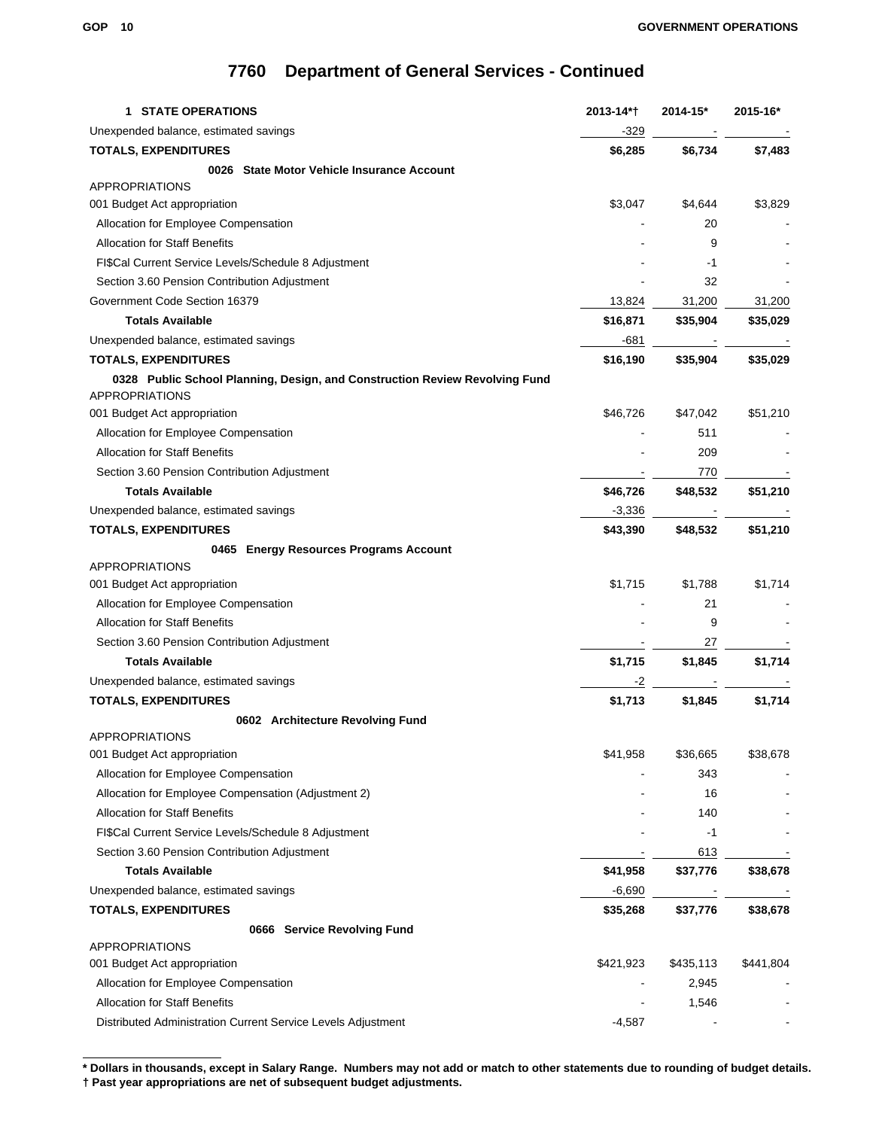| <b>STATE OPERATIONS</b><br>1                                                | 2013-14*† | 2014-15*  | 2015-16*  |
|-----------------------------------------------------------------------------|-----------|-----------|-----------|
| Unexpended balance, estimated savings                                       | -329      |           |           |
| <b>TOTALS, EXPENDITURES</b>                                                 | \$6,285   | \$6,734   | \$7,483   |
| 0026 State Motor Vehicle Insurance Account                                  |           |           |           |
| <b>APPROPRIATIONS</b>                                                       |           |           |           |
| 001 Budget Act appropriation                                                | \$3,047   | \$4,644   | \$3,829   |
| Allocation for Employee Compensation                                        |           | 20        |           |
| <b>Allocation for Staff Benefits</b>                                        |           | 9         |           |
| FI\$Cal Current Service Levels/Schedule 8 Adjustment                        |           | -1        |           |
| Section 3.60 Pension Contribution Adjustment                                |           | 32        |           |
| Government Code Section 16379                                               | 13,824    | 31,200    | 31,200    |
| <b>Totals Available</b>                                                     | \$16,871  | \$35,904  | \$35,029  |
| Unexpended balance, estimated savings                                       | -681      |           |           |
| <b>TOTALS, EXPENDITURES</b>                                                 | \$16,190  | \$35,904  | \$35,029  |
| 0328 Public School Planning, Design, and Construction Review Revolving Fund |           |           |           |
| <b>APPROPRIATIONS</b>                                                       |           |           |           |
| 001 Budget Act appropriation                                                | \$46,726  | \$47,042  | \$51,210  |
| Allocation for Employee Compensation                                        |           | 511       |           |
| <b>Allocation for Staff Benefits</b>                                        |           | 209       |           |
| Section 3.60 Pension Contribution Adjustment                                |           | 770       |           |
| <b>Totals Available</b>                                                     | \$46,726  | \$48,532  | \$51,210  |
| Unexpended balance, estimated savings                                       | $-3,336$  |           |           |
| <b>TOTALS, EXPENDITURES</b>                                                 | \$43,390  | \$48,532  | \$51,210  |
| 0465 Energy Resources Programs Account                                      |           |           |           |
| <b>APPROPRIATIONS</b>                                                       |           |           |           |
| 001 Budget Act appropriation                                                | \$1,715   | \$1,788   | \$1,714   |
| Allocation for Employee Compensation                                        |           | 21        |           |
| <b>Allocation for Staff Benefits</b>                                        |           | 9         |           |
| Section 3.60 Pension Contribution Adjustment                                |           | 27        |           |
| <b>Totals Available</b>                                                     | \$1,715   | \$1,845   | \$1,714   |
| Unexpended balance, estimated savings                                       | -2        |           |           |
| <b>TOTALS, EXPENDITURES</b>                                                 | \$1,713   | \$1,845   | \$1,714   |
| 0602 Architecture Revolving Fund                                            |           |           |           |
| <b>APPROPRIATIONS</b>                                                       |           |           |           |
| 001 Budget Act appropriation                                                | \$41,958  | \$36,665  | \$38,678  |
| Allocation for Employee Compensation                                        |           | 343       |           |
| Allocation for Employee Compensation (Adjustment 2)                         |           | 16        |           |
| <b>Allocation for Staff Benefits</b>                                        |           | 140       |           |
| FI\$Cal Current Service Levels/Schedule 8 Adjustment                        |           | -1        |           |
| Section 3.60 Pension Contribution Adjustment                                |           | 613       |           |
| <b>Totals Available</b>                                                     | \$41,958  | \$37,776  | \$38,678  |
| Unexpended balance, estimated savings                                       | $-6,690$  |           |           |
| <b>TOTALS, EXPENDITURES</b>                                                 | \$35,268  | \$37,776  | \$38,678  |
| 0666 Service Revolving Fund                                                 |           |           |           |
| <b>APPROPRIATIONS</b>                                                       |           |           |           |
| 001 Budget Act appropriation                                                | \$421,923 | \$435,113 | \$441,804 |
| Allocation for Employee Compensation                                        |           | 2,945     |           |
| <b>Allocation for Staff Benefits</b>                                        |           | 1,546     |           |
| Distributed Administration Current Service Levels Adjustment                | $-4,587$  |           |           |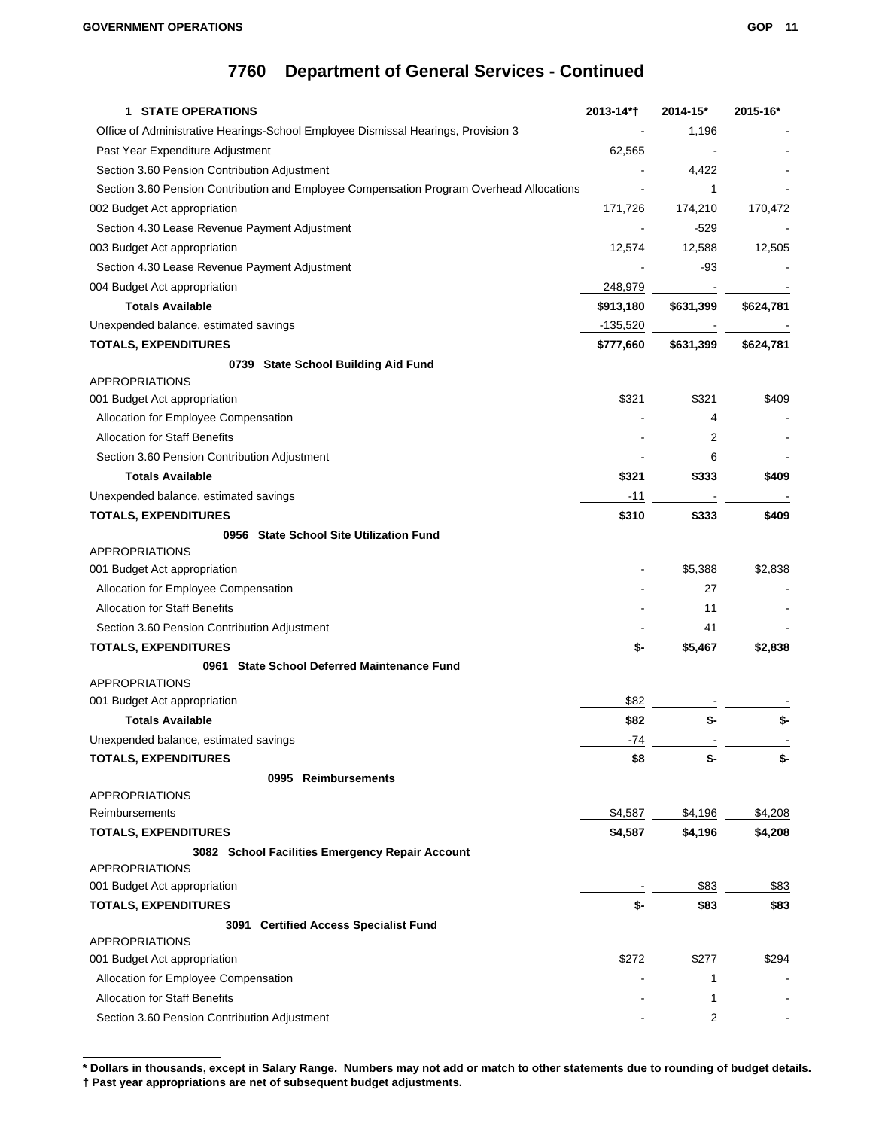| <b>1 STATE OPERATIONS</b>                                                                | 2013-14*† | 2014-15*  | 2015-16*  |
|------------------------------------------------------------------------------------------|-----------|-----------|-----------|
| Office of Administrative Hearings-School Employee Dismissal Hearings, Provision 3        |           | 1,196     |           |
| Past Year Expenditure Adjustment                                                         | 62,565    |           |           |
| Section 3.60 Pension Contribution Adjustment                                             |           | 4,422     |           |
| Section 3.60 Pension Contribution and Employee Compensation Program Overhead Allocations |           | 1         |           |
| 002 Budget Act appropriation                                                             | 171,726   | 174,210   | 170,472   |
| Section 4.30 Lease Revenue Payment Adjustment                                            |           | $-529$    |           |
| 003 Budget Act appropriation                                                             | 12,574    | 12,588    | 12,505    |
| Section 4.30 Lease Revenue Payment Adjustment                                            |           | -93       |           |
| 004 Budget Act appropriation                                                             | 248,979   |           |           |
| <b>Totals Available</b>                                                                  | \$913,180 | \$631,399 | \$624,781 |
| Unexpended balance, estimated savings                                                    | -135,520  |           |           |
| <b>TOTALS, EXPENDITURES</b>                                                              | \$777,660 | \$631,399 | \$624,781 |
| 0739 State School Building Aid Fund                                                      |           |           |           |
| <b>APPROPRIATIONS</b>                                                                    |           |           |           |
| 001 Budget Act appropriation                                                             | \$321     | \$321     | \$409     |
| Allocation for Employee Compensation                                                     |           | 4         |           |
| <b>Allocation for Staff Benefits</b>                                                     |           | 2         |           |
| Section 3.60 Pension Contribution Adjustment                                             |           | 6         |           |
| <b>Totals Available</b>                                                                  | \$321     | \$333     | \$409     |
| Unexpended balance, estimated savings                                                    | -11       |           |           |
| <b>TOTALS, EXPENDITURES</b>                                                              | \$310     | \$333     | \$409     |
| 0956 State School Site Utilization Fund                                                  |           |           |           |
| <b>APPROPRIATIONS</b>                                                                    |           |           |           |
| 001 Budget Act appropriation                                                             |           | \$5,388   | \$2,838   |
| Allocation for Employee Compensation                                                     |           | 27        |           |
| <b>Allocation for Staff Benefits</b>                                                     |           | 11        |           |
| Section 3.60 Pension Contribution Adjustment                                             |           | 41        |           |
| <b>TOTALS, EXPENDITURES</b>                                                              | \$-       | \$5,467   | \$2,838   |
| 0961 State School Deferred Maintenance Fund                                              |           |           |           |
| <b>APPROPRIATIONS</b>                                                                    |           |           |           |
| 001 Budget Act appropriation                                                             | \$82      |           |           |
| <b>Totals Available</b>                                                                  | \$82      | \$-       | \$-       |
| Unexpended balance, estimated savings                                                    | -74       |           |           |
| <b>TOTALS, EXPENDITURES</b>                                                              | \$8       | \$-       | \$-       |
| 0995 Reimbursements                                                                      |           |           |           |
| <b>APPROPRIATIONS</b>                                                                    |           |           |           |
| Reimbursements                                                                           | \$4,587   | \$4,196   | \$4,208   |
| <b>TOTALS, EXPENDITURES</b>                                                              | \$4,587   | \$4,196   | \$4,208   |
| 3082 School Facilities Emergency Repair Account                                          |           |           |           |
| <b>APPROPRIATIONS</b>                                                                    |           |           |           |
| 001 Budget Act appropriation                                                             |           | \$83      | \$83      |
| <b>TOTALS, EXPENDITURES</b>                                                              | \$-       | \$83      | \$83      |
| 3091 Certified Access Specialist Fund                                                    |           |           |           |
| <b>APPROPRIATIONS</b>                                                                    |           |           |           |
| 001 Budget Act appropriation                                                             | \$272     | \$277     | \$294     |
| Allocation for Employee Compensation                                                     |           | 1         |           |
| <b>Allocation for Staff Benefits</b>                                                     |           | 1         |           |
| Section 3.60 Pension Contribution Adjustment                                             |           | 2         |           |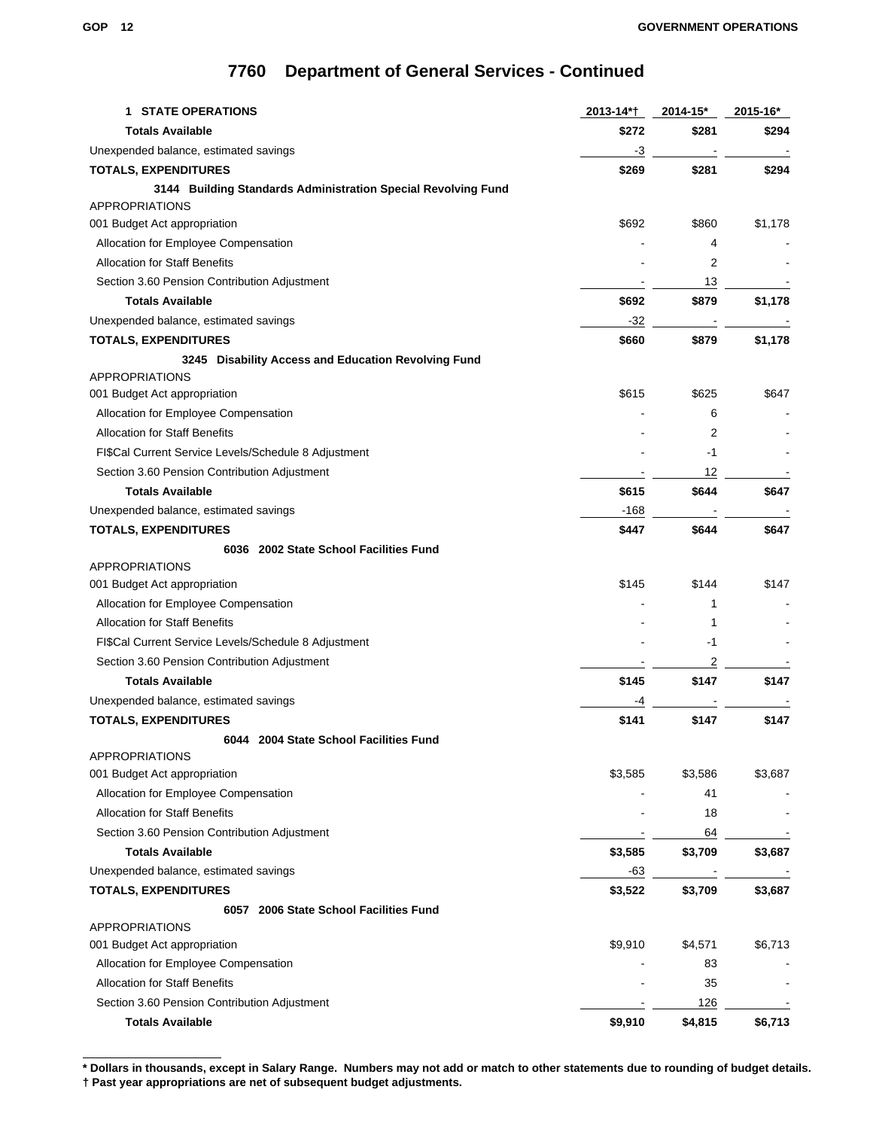| <b>1 STATE OPERATIONS</b>                                                              | 2013-14*† | 2014-15* | 2015-16* |
|----------------------------------------------------------------------------------------|-----------|----------|----------|
| <b>Totals Available</b>                                                                | \$272     | \$281    | \$294    |
| Unexpended balance, estimated savings                                                  | -3        |          |          |
| <b>TOTALS, EXPENDITURES</b>                                                            | \$269     | \$281    | \$294    |
| 3144 Building Standards Administration Special Revolving Fund<br><b>APPROPRIATIONS</b> |           |          |          |
| 001 Budget Act appropriation                                                           | \$692     | \$860    | \$1,178  |
| Allocation for Employee Compensation                                                   |           | 4        |          |
| <b>Allocation for Staff Benefits</b>                                                   |           | 2        |          |
| Section 3.60 Pension Contribution Adjustment                                           |           | 13       |          |
| <b>Totals Available</b>                                                                | \$692     | \$879    | \$1,178  |
| Unexpended balance, estimated savings                                                  | -32       |          |          |
| <b>TOTALS, EXPENDITURES</b>                                                            | \$660     | \$879    | \$1,178  |
| 3245 Disability Access and Education Revolving Fund                                    |           |          |          |
| <b>APPROPRIATIONS</b>                                                                  |           |          |          |
| 001 Budget Act appropriation                                                           | \$615     | \$625    | \$647    |
| Allocation for Employee Compensation                                                   |           | 6        |          |
| <b>Allocation for Staff Benefits</b>                                                   |           | 2        |          |
| FI\$Cal Current Service Levels/Schedule 8 Adjustment                                   |           | -1       |          |
| Section 3.60 Pension Contribution Adjustment                                           |           | 12       |          |
| <b>Totals Available</b>                                                                | \$615     | \$644    | \$647    |
| Unexpended balance, estimated savings                                                  | $-168$    |          |          |
| <b>TOTALS, EXPENDITURES</b>                                                            | \$447     | \$644    | \$647    |
| 6036 2002 State School Facilities Fund                                                 |           |          |          |
| <b>APPROPRIATIONS</b>                                                                  |           |          |          |
| 001 Budget Act appropriation                                                           | \$145     | \$144    | \$147    |
| Allocation for Employee Compensation                                                   |           | 1        |          |
| <b>Allocation for Staff Benefits</b>                                                   |           | 1        |          |
| FI\$Cal Current Service Levels/Schedule 8 Adjustment                                   |           | -1       |          |
| Section 3.60 Pension Contribution Adjustment                                           |           | 2        |          |
| <b>Totals Available</b>                                                                | \$145     | \$147    | \$147    |
| Unexpended balance, estimated savings                                                  | -4        |          |          |
| <b>TOTALS, EXPENDITURES</b>                                                            | \$141     | \$147    | \$147    |
| 6044 2004 State School Facilities Fund<br><b>APPROPRIATIONS</b>                        |           |          |          |
| 001 Budget Act appropriation                                                           | \$3,585   | \$3,586  | \$3,687  |
| Allocation for Employee Compensation                                                   |           | 41       |          |
| <b>Allocation for Staff Benefits</b>                                                   |           | 18       |          |
| Section 3.60 Pension Contribution Adjustment                                           |           | 64       |          |
| <b>Totals Available</b>                                                                | \$3,585   | \$3,709  | \$3,687  |
| Unexpended balance, estimated savings                                                  | $-63$     |          |          |
| <b>TOTALS, EXPENDITURES</b>                                                            | \$3,522   | \$3,709  | \$3,687  |
| 6057 2006 State School Facilities Fund                                                 |           |          |          |
| <b>APPROPRIATIONS</b>                                                                  |           |          |          |
| 001 Budget Act appropriation                                                           | \$9,910   | \$4,571  | \$6,713  |
| Allocation for Employee Compensation                                                   |           | 83       |          |
| <b>Allocation for Staff Benefits</b>                                                   |           | 35       |          |
| Section 3.60 Pension Contribution Adjustment                                           |           | 126      |          |
| <b>Totals Available</b>                                                                | \$9,910   | \$4,815  | \$6,713  |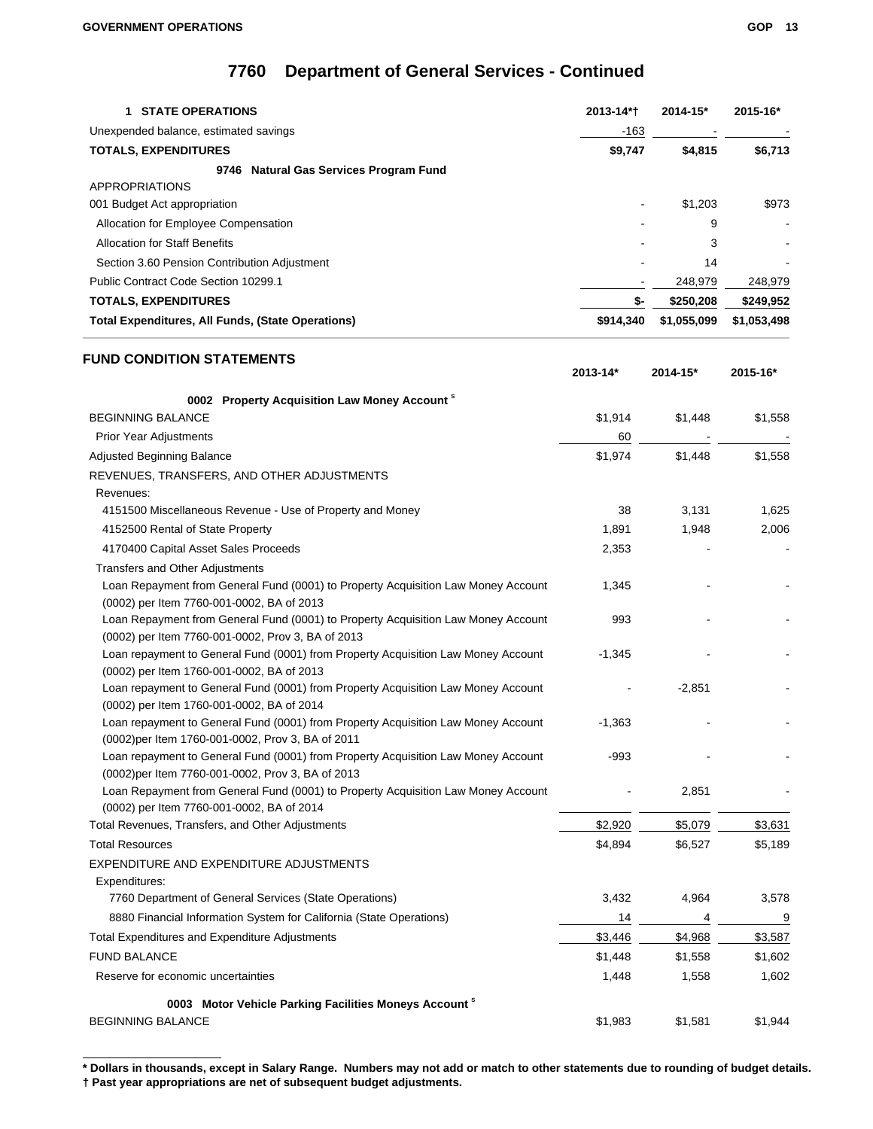| <b>1 STATE OPERATIONS</b>                                                                                                              | 2013-14*†    | $2014 - 15*$ | 2015-16*    |
|----------------------------------------------------------------------------------------------------------------------------------------|--------------|--------------|-------------|
| Unexpended balance, estimated savings                                                                                                  | -163         |              |             |
| <b>TOTALS, EXPENDITURES</b>                                                                                                            | \$9,747      | \$4,815      | \$6,713     |
| 9746 Natural Gas Services Program Fund                                                                                                 |              |              |             |
| <b>APPROPRIATIONS</b>                                                                                                                  |              |              |             |
| 001 Budget Act appropriation                                                                                                           |              | \$1,203      | \$973       |
| Allocation for Employee Compensation                                                                                                   |              | 9            |             |
| <b>Allocation for Staff Benefits</b>                                                                                                   |              | 3            |             |
| Section 3.60 Pension Contribution Adjustment                                                                                           |              | 14           |             |
| Public Contract Code Section 10299.1                                                                                                   |              | 248,979      | 248,979     |
| <b>TOTALS, EXPENDITURES</b>                                                                                                            | \$-          | \$250,208    | \$249,952   |
| <b>Total Expenditures, All Funds, (State Operations)</b>                                                                               | \$914,340    | \$1,055,099  | \$1,053,498 |
|                                                                                                                                        |              |              |             |
| <b>FUND CONDITION STATEMENTS</b>                                                                                                       |              |              |             |
|                                                                                                                                        | $2013 - 14*$ | 2014-15*     | 2015-16*    |
|                                                                                                                                        |              |              |             |
| 0002 Property Acquisition Law Money Account <sup>s</sup>                                                                               |              |              |             |
| <b>BEGINNING BALANCE</b>                                                                                                               | \$1,914      | \$1,448      | \$1,558     |
| <b>Prior Year Adjustments</b>                                                                                                          | 60           |              |             |
| Adjusted Beginning Balance                                                                                                             | \$1,974      | \$1,448      | \$1,558     |
| REVENUES, TRANSFERS, AND OTHER ADJUSTMENTS                                                                                             |              |              |             |
| Revenues:                                                                                                                              |              |              |             |
| 4151500 Miscellaneous Revenue - Use of Property and Money                                                                              | 38           | 3,131        | 1,625       |
| 4152500 Rental of State Property                                                                                                       | 1,891        | 1,948        | 2,006       |
| 4170400 Capital Asset Sales Proceeds                                                                                                   | 2,353        |              |             |
| Transfers and Other Adjustments                                                                                                        |              |              |             |
| Loan Repayment from General Fund (0001) to Property Acquisition Law Money Account<br>(0002) per Item 7760-001-0002, BA of 2013         | 1,345        |              |             |
| Loan Repayment from General Fund (0001) to Property Acquisition Law Money Account                                                      | 993          |              |             |
| (0002) per Item 7760-001-0002, Prov 3, BA of 2013                                                                                      |              |              |             |
| Loan repayment to General Fund (0001) from Property Acquisition Law Money Account<br>(0002) per Item 1760-001-0002, BA of 2013         | $-1,345$     |              |             |
| Loan repayment to General Fund (0001) from Property Acquisition Law Money Account<br>(0002) per Item 1760-001-0002, BA of 2014         |              | $-2,851$     |             |
| Loan repayment to General Fund (0001) from Property Acquisition Law Money Account<br>(0002) per Item 1760-001-0002, Prov 3, BA of 2011 | $-1,363$     |              |             |
| Loan repayment to General Fund (0001) from Property Acquisition Law Money Account<br>(0002)per Item 7760-001-0002, Prov 3, BA of 2013  | $-993$       |              |             |
| Loan Repayment from General Fund (0001) to Property Acquisition Law Money Account<br>(0002) per Item 7760-001-0002, BA of 2014         |              | 2,851        |             |
| Total Revenues, Transfers, and Other Adjustments                                                                                       | \$2,920      | \$5,079      | \$3,631     |
| <b>Total Resources</b>                                                                                                                 | \$4,894      | \$6,527      | \$5,189     |
| EXPENDITURE AND EXPENDITURE ADJUSTMENTS                                                                                                |              |              |             |
| Expenditures:                                                                                                                          |              |              |             |
| 7760 Department of General Services (State Operations)                                                                                 | 3,432        | 4,964        | 3,578       |
| 8880 Financial Information System for California (State Operations)                                                                    | 14           | 4            | 9           |
| Total Expenditures and Expenditure Adjustments                                                                                         | \$3,446      | \$4,968      | \$3,587     |
| <b>FUND BALANCE</b>                                                                                                                    | \$1,448      | \$1,558      | \$1,602     |
| Reserve for economic uncertainties                                                                                                     | 1,448        | 1,558        | 1,602       |
|                                                                                                                                        |              |              |             |
| 0003 Motor Vehicle Parking Facilities Moneys Account <sup>8</sup><br><b>BEGINNING BALANCE</b>                                          | \$1,983      | \$1,581      | \$1,944     |

**<sup>\*</sup> Dollars in thousands, except in Salary Range. Numbers may not add or match to other statements due to rounding of budget details. † Past year appropriations are net of subsequent budget adjustments.**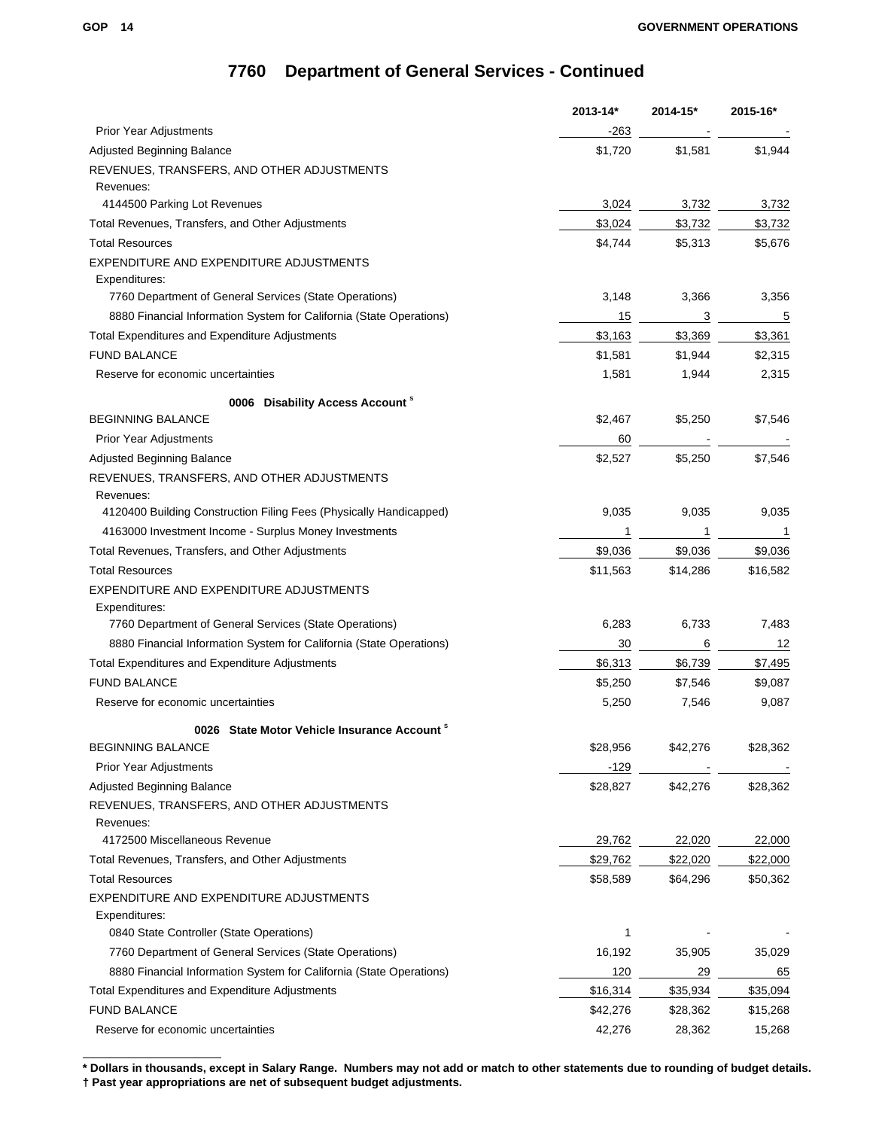|                                                                     | $2013 - 14*$ | 2014-15* | 2015-16* |
|---------------------------------------------------------------------|--------------|----------|----------|
| <b>Prior Year Adjustments</b>                                       | -263         |          |          |
| Adjusted Beginning Balance                                          | \$1,720      | \$1,581  | \$1,944  |
| REVENUES, TRANSFERS, AND OTHER ADJUSTMENTS                          |              |          |          |
| Revenues:                                                           |              |          |          |
| 4144500 Parking Lot Revenues                                        | 3,024        | 3,732    | 3,732    |
| Total Revenues, Transfers, and Other Adjustments                    | \$3,024      | \$3,732  | \$3,732  |
| <b>Total Resources</b>                                              | \$4,744      | \$5,313  | \$5,676  |
| EXPENDITURE AND EXPENDITURE ADJUSTMENTS                             |              |          |          |
| Expenditures:                                                       |              |          |          |
| 7760 Department of General Services (State Operations)              | 3,148        | 3,366    | 3,356    |
| 8880 Financial Information System for California (State Operations) | 15           | 3        | 5        |
| Total Expenditures and Expenditure Adjustments                      | \$3,163      | \$3,369  | \$3,361  |
| <b>FUND BALANCE</b>                                                 | \$1,581      | \$1,944  | \$2,315  |
| Reserve for economic uncertainties                                  | 1,581        | 1,944    | 2,315    |
| 0006 Disability Access Account <sup>8</sup>                         |              |          |          |
| <b>BEGINNING BALANCE</b>                                            | \$2,467      | \$5,250  | \$7,546  |
| <b>Prior Year Adjustments</b>                                       | 60           |          |          |
| <b>Adjusted Beginning Balance</b>                                   | \$2,527      | \$5,250  | \$7,546  |
| REVENUES, TRANSFERS, AND OTHER ADJUSTMENTS                          |              |          |          |
| Revenues:                                                           |              |          |          |
| 4120400 Building Construction Filing Fees (Physically Handicapped)  | 9,035        | 9,035    | 9,035    |
| 4163000 Investment Income - Surplus Money Investments               | 1            | 1        | 1        |
| Total Revenues, Transfers, and Other Adjustments                    | \$9,036      | \$9,036  | \$9,036  |
| <b>Total Resources</b>                                              | \$11,563     | \$14,286 | \$16,582 |
| EXPENDITURE AND EXPENDITURE ADJUSTMENTS                             |              |          |          |
| Expenditures:                                                       |              |          |          |
| 7760 Department of General Services (State Operations)              | 6,283        | 6,733    | 7,483    |
| 8880 Financial Information System for California (State Operations) | 30           | 6        | 12       |
| Total Expenditures and Expenditure Adjustments                      | \$6,313      | \$6,739  | \$7,495  |
| <b>FUND BALANCE</b>                                                 | \$5,250      | \$7,546  | \$9,087  |
| Reserve for economic uncertainties                                  | 5,250        | 7,546    | 9,087    |
| 0026 State Motor Vehicle Insurance Account                          |              |          |          |
| <b>BEGINNING BALANCE</b>                                            | \$28,956     | \$42,276 | \$28,362 |
| <b>Prior Year Adjustments</b>                                       | $-129$       |          |          |
| Adjusted Beginning Balance                                          | \$28,827     | \$42,276 | \$28,362 |
| REVENUES, TRANSFERS, AND OTHER ADJUSTMENTS                          |              |          |          |
| Revenues:                                                           |              |          |          |
| 4172500 Miscellaneous Revenue                                       | 29,762       | 22,020   | 22,000   |
| Total Revenues, Transfers, and Other Adjustments                    | \$29,762     | \$22,020 | \$22,000 |
| <b>Total Resources</b>                                              | \$58,589     | \$64,296 | \$50,362 |
| EXPENDITURE AND EXPENDITURE ADJUSTMENTS                             |              |          |          |
| Expenditures:                                                       |              |          |          |
| 0840 State Controller (State Operations)                            | 1            |          |          |
| 7760 Department of General Services (State Operations)              | 16,192       | 35,905   | 35,029   |
| 8880 Financial Information System for California (State Operations) | 120          | 29       | 65       |
| Total Expenditures and Expenditure Adjustments                      | \$16,314     | \$35,934 | \$35,094 |
| <b>FUND BALANCE</b>                                                 | \$42,276     | \$28,362 | \$15,268 |
| Reserve for economic uncertainties                                  | 42,276       | 28,362   | 15,268   |
|                                                                     |              |          |          |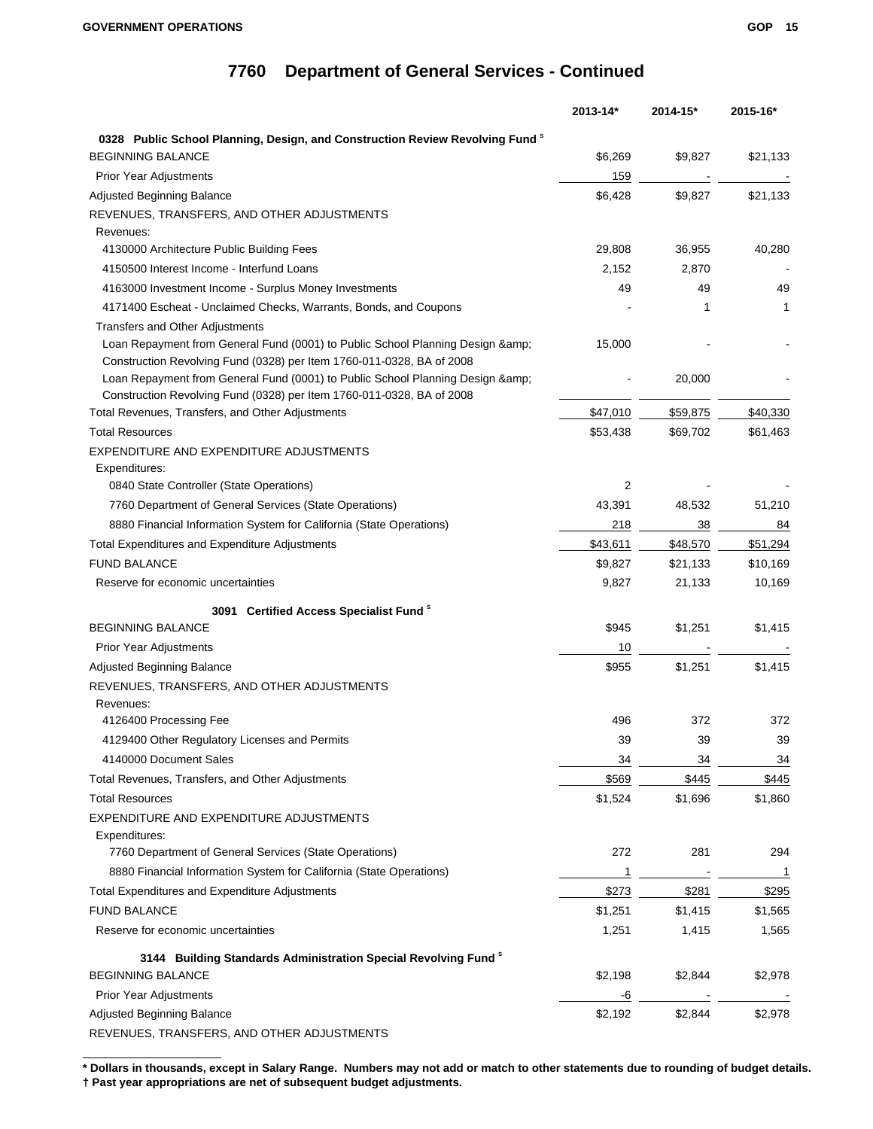|                                                                                          | 2013-14* | 2014-15* | 2015-16*       |
|------------------------------------------------------------------------------------------|----------|----------|----------------|
| 0328 Public School Planning, Design, and Construction Review Revolving Fund <sup>s</sup> |          |          |                |
| <b>BEGINNING BALANCE</b>                                                                 | \$6,269  | \$9,827  | \$21,133       |
| <b>Prior Year Adjustments</b>                                                            | 159      |          |                |
| Adjusted Beginning Balance                                                               | \$6,428  | \$9,827  | \$21,133       |
| REVENUES, TRANSFERS, AND OTHER ADJUSTMENTS                                               |          |          |                |
| Revenues:                                                                                |          |          |                |
| 4130000 Architecture Public Building Fees                                                | 29,808   | 36,955   | 40,280         |
| 4150500 Interest Income - Interfund Loans                                                | 2,152    | 2,870    |                |
| 4163000 Investment Income - Surplus Money Investments                                    | 49       | 49       | 49             |
| 4171400 Escheat - Unclaimed Checks, Warrants, Bonds, and Coupons                         |          | 1        | 1              |
| <b>Transfers and Other Adjustments</b>                                                   |          |          |                |
| Loan Repayment from General Fund (0001) to Public School Planning Design & amp;          | 15,000   |          |                |
| Construction Revolving Fund (0328) per Item 1760-011-0328, BA of 2008                    |          |          |                |
| Loan Repayment from General Fund (0001) to Public School Planning Design &               |          | 20,000   |                |
| Construction Revolving Fund (0328) per Item 1760-011-0328, BA of 2008                    |          |          |                |
| Total Revenues, Transfers, and Other Adjustments                                         | \$47,010 | \$59,875 | \$40,330       |
| <b>Total Resources</b>                                                                   | \$53,438 | \$69,702 | \$61,463       |
| EXPENDITURE AND EXPENDITURE ADJUSTMENTS                                                  |          |          |                |
| Expenditures:                                                                            |          |          |                |
| 0840 State Controller (State Operations)                                                 | 2        |          |                |
| 7760 Department of General Services (State Operations)                                   | 43,391   | 48,532   | 51,210         |
| 8880 Financial Information System for California (State Operations)                      | 218      | 38       | 84             |
| Total Expenditures and Expenditure Adjustments                                           | \$43,611 | \$48,570 | \$51,294       |
| <b>FUND BALANCE</b>                                                                      | \$9,827  | \$21,133 | \$10,169       |
| Reserve for economic uncertainties                                                       | 9,827    | 21,133   | 10,169         |
| 3091 Certified Access Specialist Fund <sup>8</sup>                                       |          |          |                |
| <b>BEGINNING BALANCE</b>                                                                 | \$945    | \$1,251  | \$1,415        |
| <b>Prior Year Adjustments</b>                                                            | 10       |          |                |
| Adjusted Beginning Balance                                                               | \$955    | \$1,251  | \$1,415        |
| REVENUES, TRANSFERS, AND OTHER ADJUSTMENTS                                               |          |          |                |
| Revenues:                                                                                |          |          |                |
| 4126400 Processing Fee                                                                   | 496      | 372      | 372            |
| 4129400 Other Regulatory Licenses and Permits                                            | 39       | 39       | 39             |
| 4140000 Document Sales                                                                   | 34       | 34       | $\frac{34}{5}$ |
| Total Revenues, Transfers, and Other Adjustments                                         | \$569    | \$445    | \$445          |
| <b>Total Resources</b>                                                                   | \$1,524  | \$1,696  | \$1,860        |
| EXPENDITURE AND EXPENDITURE ADJUSTMENTS                                                  |          |          |                |
| Expenditures:                                                                            |          |          |                |
| 7760 Department of General Services (State Operations)                                   | 272      | 281      | 294            |
| 8880 Financial Information System for California (State Operations)                      | 1        |          | 1              |
| Total Expenditures and Expenditure Adjustments                                           | \$273    | \$281    | \$295          |
| <b>FUND BALANCE</b>                                                                      | \$1,251  | \$1,415  | \$1,565        |
| Reserve for economic uncertainties                                                       | 1,251    | 1,415    | 1,565          |
| 3144 Building Standards Administration Special Revolving Fund <sup>8</sup>               |          |          |                |
| <b>BEGINNING BALANCE</b>                                                                 | \$2,198  | \$2,844  | \$2,978        |
| <b>Prior Year Adjustments</b>                                                            | -6       |          |                |
| Adjusted Beginning Balance                                                               | \$2,192  | \$2,844  | \$2,978        |
| <b>DEVENHES TRANSFERS AND OTHER ADJISTMENTS</b>                                          |          |          |                |

REVENUES, TRANSFERS, AND OTHER ADJUSTMENTS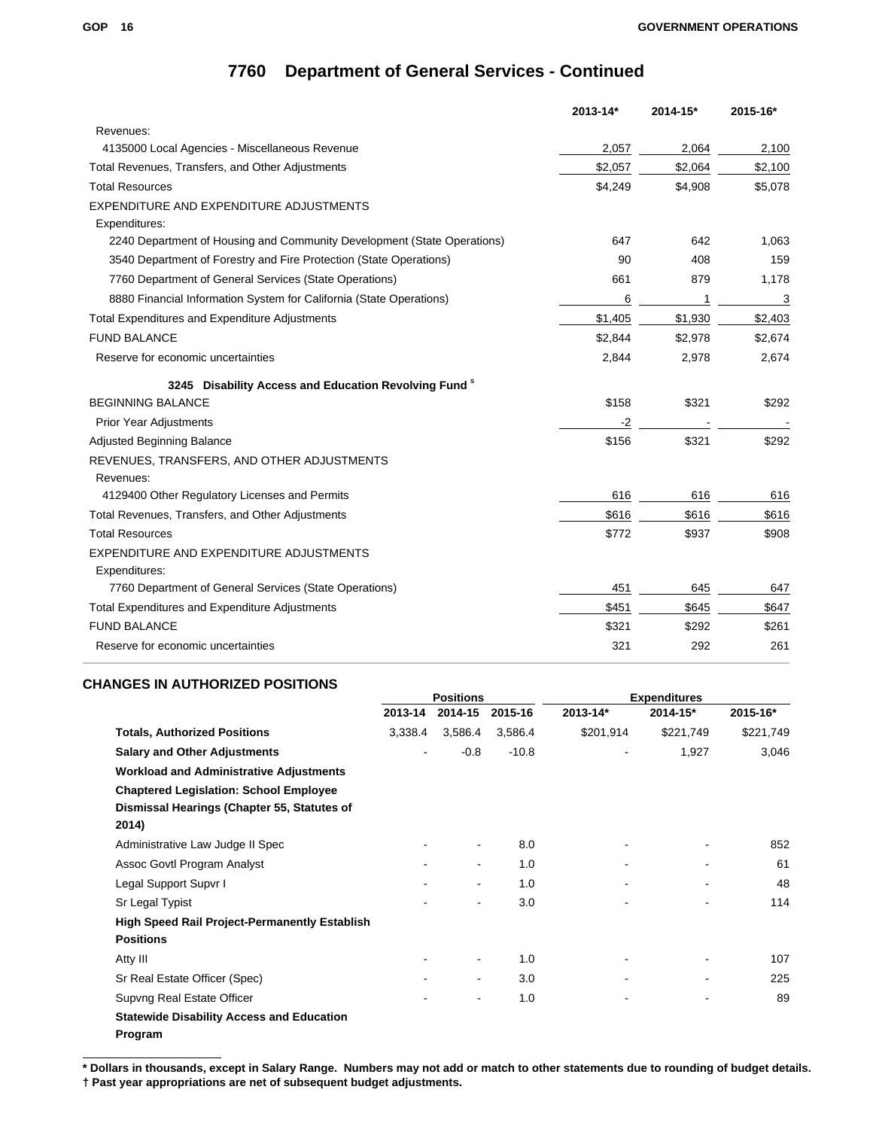|                                                                         | 2013-14* | 2014-15* | 2015-16* |
|-------------------------------------------------------------------------|----------|----------|----------|
| Revenues:                                                               |          |          |          |
| 4135000 Local Agencies - Miscellaneous Revenue                          | 2,057    | 2,064    | 2,100    |
| Total Revenues, Transfers, and Other Adjustments                        | \$2,057  | \$2,064  | \$2,100  |
| <b>Total Resources</b>                                                  | \$4,249  | \$4,908  | \$5,078  |
| EXPENDITURE AND EXPENDITURE ADJUSTMENTS                                 |          |          |          |
| Expenditures:                                                           |          |          |          |
| 2240 Department of Housing and Community Development (State Operations) | 647      | 642      | 1,063    |
| 3540 Department of Forestry and Fire Protection (State Operations)      | 90       | 408      | 159      |
| 7760 Department of General Services (State Operations)                  | 661      | 879      | 1,178    |
| 8880 Financial Information System for California (State Operations)     | 6        | 1        | 3        |
| <b>Total Expenditures and Expenditure Adjustments</b>                   | \$1,405  | \$1,930  | \$2,403  |
| <b>FUND BALANCE</b>                                                     | \$2,844  | \$2,978  | \$2,674  |
| Reserve for economic uncertainties                                      | 2,844    | 2,978    | 2,674    |
| 3245 Disability Access and Education Revolving Fund <sup>8</sup>        |          |          |          |
| <b>BEGINNING BALANCE</b>                                                | \$158    | \$321    | \$292    |
| <b>Prior Year Adjustments</b>                                           | $-2$     |          |          |
| <b>Adjusted Beginning Balance</b>                                       | \$156    | \$321    | \$292    |
| REVENUES, TRANSFERS, AND OTHER ADJUSTMENTS<br>Revenues:                 |          |          |          |
| 4129400 Other Regulatory Licenses and Permits                           | 616      | 616      | 616      |
| Total Revenues, Transfers, and Other Adjustments                        | \$616    | \$616    | \$616    |
| <b>Total Resources</b>                                                  | \$772    | \$937    | \$908    |
| EXPENDITURE AND EXPENDITURE ADJUSTMENTS<br>Expenditures:                |          |          |          |
| 7760 Department of General Services (State Operations)                  | 451      | 645      | 647      |
| Total Expenditures and Expenditure Adjustments                          | \$451    | \$645    | \$647    |
| <b>FUND BALANCE</b>                                                     | \$321    | \$292    | \$261    |
| Reserve for economic uncertainties                                      | 321      | 292      | 261      |

### **CHANGES IN AUTHORIZED POSITIONS**

|                                                                                                       | <b>Positions</b> |                |         |           | <b>Expenditures</b> |           |
|-------------------------------------------------------------------------------------------------------|------------------|----------------|---------|-----------|---------------------|-----------|
|                                                                                                       | 2013-14          | 2014-15        | 2015-16 | 2013-14*  | 2014-15*            | 2015-16*  |
| <b>Totals, Authorized Positions</b>                                                                   | 3,338.4          | 3,586.4        | 3,586.4 | \$201,914 | \$221,749           | \$221,749 |
| <b>Salary and Other Adjustments</b>                                                                   | ۰                | $-0.8$         | $-10.8$ |           | 1,927               | 3,046     |
| <b>Workload and Administrative Adjustments</b>                                                        |                  |                |         |           |                     |           |
| <b>Chaptered Legislation: School Employee</b><br>Dismissal Hearings (Chapter 55, Statutes of<br>2014) |                  |                |         |           |                     |           |
| Administrative Law Judge II Spec                                                                      |                  | $\blacksquare$ | 8.0     |           |                     | 852       |
| Assoc Govtl Program Analyst                                                                           |                  | $\blacksquare$ | 1.0     |           | ۰                   | 61        |
| Legal Support Supvr I                                                                                 |                  | $\blacksquare$ | 1.0     |           | $\blacksquare$      | 48        |
| Sr Legal Typist                                                                                       |                  | $\blacksquare$ | 3.0     |           | ۰                   | 114       |
| <b>High Speed Rail Project-Permanently Establish</b><br><b>Positions</b>                              |                  |                |         |           |                     |           |
| Atty III                                                                                              |                  | $\blacksquare$ | 1.0     |           | ۰.                  | 107       |
| Sr Real Estate Officer (Spec)                                                                         |                  | $\blacksquare$ | 3.0     |           | ۰                   | 225       |
| Supvng Real Estate Officer                                                                            |                  |                | 1.0     |           | ٠                   | 89        |
| <b>Statewide Disability Access and Education</b><br>Program                                           |                  |                |         |           |                     |           |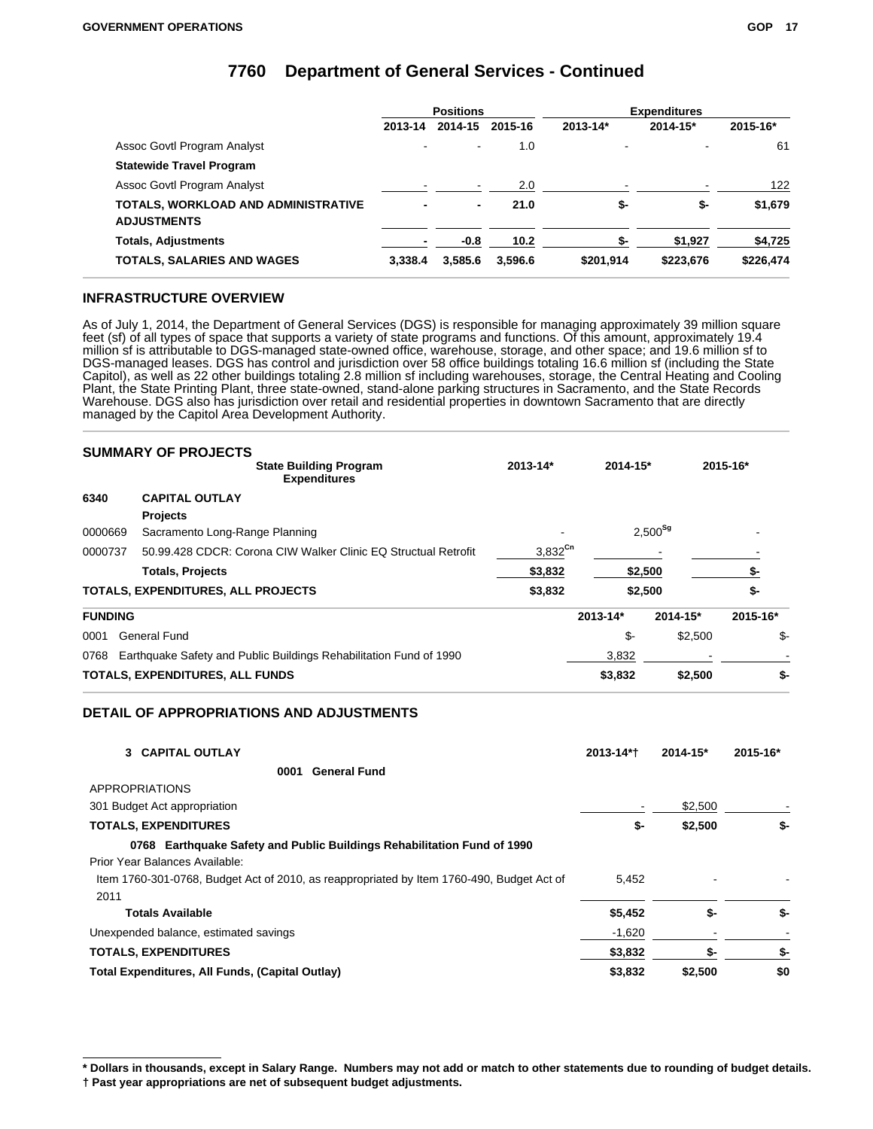|                                     | <b>Positions</b> |                |                   | <b>Expenditures</b> |           |           |
|-------------------------------------|------------------|----------------|-------------------|---------------------|-----------|-----------|
|                                     | 2013-14          | 2014-15        | 2015-16           | 2013-14*            | 2014-15*  | 2015-16*  |
| Assoc Govtl Program Analyst         | ٠                | $\blacksquare$ | 1.0               |                     | -         | 61        |
| <b>Statewide Travel Program</b>     |                  |                |                   |                     |           |           |
| Assoc Govtl Program Analyst         |                  | ۰              | 2.0               |                     |           | 122       |
| TOTALS, WORKLOAD AND ADMINISTRATIVE |                  | $\blacksquare$ | 21.0              | \$-                 | \$-       | \$1,679   |
| <b>ADJUSTMENTS</b>                  |                  |                |                   |                     |           |           |
| <b>Totals, Adjustments</b>          |                  | $-0.8$         | 10.2 <sub>1</sub> | \$-                 | \$1,927   | \$4,725   |
| <b>TOTALS, SALARIES AND WAGES</b>   | 3.338.4          | 3.585.6        | 3.596.6           | \$201.914           | \$223,676 | \$226,474 |

### **INFRASTRUCTURE OVERVIEW**

As of July 1, 2014, the Department of General Services (DGS) is responsible for managing approximately 39 million square feet (sf) of all types of space that supports a variety of state programs and functions. Of this amount, approximately 19.4 million sf is attributable to DGS-managed state-owned office, warehouse, storage, and other space; and 19.6 million sf to DGS-managed leases. DGS has control and jurisdiction over 58 office buildings totaling 16.6 million sf (including the State Capitol), as well as 22 other buildings totaling 2.8 million sf including warehouses, storage, the Central Heating and Cooling Plant, the State Printing Plant, three state-owned, stand-alone parking structures in Sacramento, and the State Records Warehouse. DGS also has jurisdiction over retail and residential properties in downtown Sacramento that are directly managed by the Capitol Area Development Authority.

|                | <b>SUMMARY OF PROJECTS</b>                                         |              |              |              |          |
|----------------|--------------------------------------------------------------------|--------------|--------------|--------------|----------|
|                | <b>State Building Program</b><br><b>Expenditures</b>               | 2013-14*     | $2014 - 15*$ |              | 2015-16* |
| 6340           | <b>CAPITAL OUTLAY</b>                                              |              |              |              |          |
|                | <b>Projects</b>                                                    |              |              |              |          |
| 0000669        | Sacramento Long-Range Planning                                     |              |              | $2,500^{Sg}$ |          |
| 0000737        | 50.99.428 CDCR: Corona CIW Walker Clinic EQ Structual Retrofit     | $3,832^{Cn}$ |              |              |          |
|                | <b>Totals, Projects</b>                                            | \$3,832      |              | \$2,500      | \$-      |
|                | TOTALS, EXPENDITURES, ALL PROJECTS                                 | \$3,832      |              | \$2,500      | \$-      |
| <b>FUNDING</b> |                                                                    |              | $2013 - 14*$ | 2014-15*     | 2015-16* |
| 0001           | General Fund                                                       |              | \$-          | \$2,500      | \$-      |
| 0768           | Earthquake Safety and Public Buildings Rehabilitation Fund of 1990 |              | 3,832        |              |          |
|                | TOTALS, EXPENDITURES, ALL FUNDS                                    |              | \$3,832      | \$2,500      | \$-      |

### **DETAIL OF APPROPRIATIONS AND ADJUSTMENTS**

| 3 CAPITAL OUTLAY                                                                          | 2013-14*† | $2014 - 15^*$ | 2015-16* |
|-------------------------------------------------------------------------------------------|-----------|---------------|----------|
| <b>General Fund</b><br>0001                                                               |           |               |          |
| <b>APPROPRIATIONS</b>                                                                     |           |               |          |
| 301 Budget Act appropriation                                                              |           | \$2,500       |          |
| <b>TOTALS, EXPENDITURES</b>                                                               | \$-       | \$2,500       | \$-      |
| 0768 Earthquake Safety and Public Buildings Rehabilitation Fund of 1990                   |           |               |          |
| Prior Year Balances Available:                                                            |           |               |          |
| Item 1760-301-0768, Budget Act of 2010, as reappropriated by Item 1760-490, Budget Act of | 5,452     |               |          |
| 2011                                                                                      |           |               |          |
| <b>Totals Available</b>                                                                   | \$5,452   | \$-           | \$-      |
| Unexpended balance, estimated savings                                                     | $-1,620$  |               |          |
| <b>TOTALS, EXPENDITURES</b>                                                               | \$3,832   | \$-           | \$-      |
| Total Expenditures, All Funds, (Capital Outlay)                                           | \$3,832   | \$2,500       | \$0      |

**<sup>\*</sup> Dollars in thousands, except in Salary Range. Numbers may not add or match to other statements due to rounding of budget details. † Past year appropriations are net of subsequent budget adjustments.**